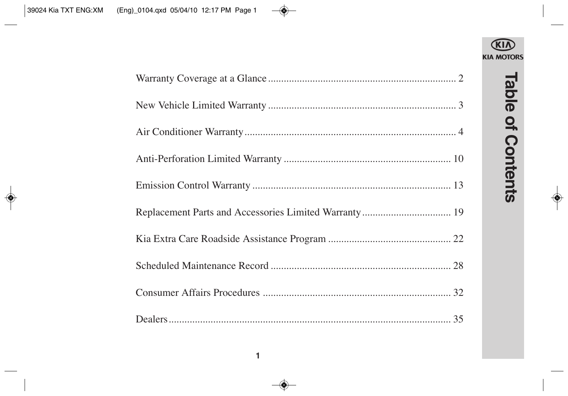

# **Table of Contents Table of Contents**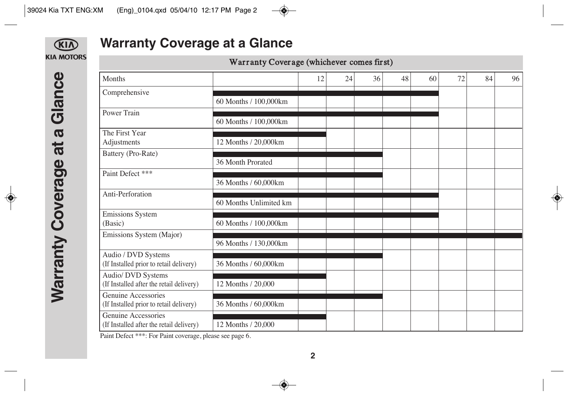

# **Warranty Coverage at a Glance**

Warranty Coverage (whichever comes first)

| Months                                                         |                        | 12 | 24 | 36 | 48 | 60 | 72 | 84 | 96 |
|----------------------------------------------------------------|------------------------|----|----|----|----|----|----|----|----|
| Comprehensive                                                  |                        |    |    |    |    |    |    |    |    |
|                                                                | 60 Months / 100,000km  |    |    |    |    |    |    |    |    |
| Power Train                                                    |                        |    |    |    |    |    |    |    |    |
|                                                                | 60 Months / 100,000km  |    |    |    |    |    |    |    |    |
| The First Year                                                 |                        |    |    |    |    |    |    |    |    |
| Adjustments                                                    | 12 Months / 20,000km   |    |    |    |    |    |    |    |    |
| Battery (Pro-Rate)                                             | 36 Month Prorated      |    |    |    |    |    |    |    |    |
| Paint Defect ***                                               |                        |    |    |    |    |    |    |    |    |
|                                                                | 36 Months / 60,000km   |    |    |    |    |    |    |    |    |
| Anti-Perforation                                               |                        |    |    |    |    |    |    |    |    |
|                                                                | 60 Months Unlimited km |    |    |    |    |    |    |    |    |
| Emissions System                                               |                        |    |    |    |    |    |    |    |    |
| (Basic)                                                        | 60 Months / 100,000km  |    |    |    |    |    |    |    |    |
| Emissions System (Major)                                       |                        |    |    |    |    |    |    |    |    |
|                                                                | 96 Months / 130,000km  |    |    |    |    |    |    |    |    |
| Audio / DVD Systems<br>(If Installed prior to retail delivery) | 36 Months / 60,000km   |    |    |    |    |    |    |    |    |
| Audio/ DVD Systems                                             |                        |    |    |    |    |    |    |    |    |
| (If Installed after the retail delivery)                       | 12 Months / 20,000     |    |    |    |    |    |    |    |    |
| Genuine Accessories                                            |                        |    |    |    |    |    |    |    |    |
| (If Installed prior to retail delivery)                        | 36 Months / 60,000km   |    |    |    |    |    |    |    |    |
| Genuine Accessories                                            |                        |    |    |    |    |    |    |    |    |
| (If Installed after the retail delivery)                       | 12 Months / 20,000     |    |    |    |    |    |    |    |    |

Paint Defect \*\*\*: For Paint coverage, please see page 6.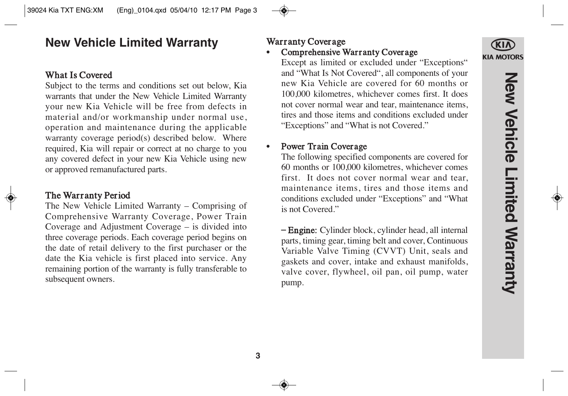# **New Vehicle Limited Warranty**

## What Is Covered

Subject to the terms and conditions set out below, Kia warrants that under the New Vehicle Limited Warranty your new Kia Vehicle will be free from defects in material and/or workmanship under normal use, operation and maintenance during the applicable warranty coverage period(s) described below. Where required, Kia will repair or correct at no charge to you any covered defect in your new Kia Vehicle using new or approved remanufactured parts.

## The Warranty Period

The New Vehicle Limited Warranty – Comprising of Comprehensive Warranty Coverage, Power Train Coverage and Adjustment Coverage – is divided into three coverage periods. Each coverage period begins on the date of retail delivery to the first purchaser or the date the Kia vehicle is first placed into service. Any remaining portion of the warranty is fully transferable to subsequent owners.

## Warranty Coverage

Comprehensive Warranty Coverage

Except as limited or excluded under "Exceptions" and "What Is Not Covered", all components of your new Kia Vehicle are covered for 60 months or 100,000 kilometres, whichever comes first. It does not cover normal wear and tear, maintenance items, tires and those items and conditions excluded under "Exceptions" and "What is not Covered."

## • Power Train Coverage

The following specified components are covered for 60 months or 100,000 kilometres, whichever comes first. It does not cover normal wear and tear, maintenance items, tires and those items and conditions excluded under "Exceptions" and "What is not Covered."

– Engine: Cylinder block, cylinder head, all internal parts, timing gear, timing belt and cover, Continuous Variable Valve Timing (CVVT) Unit, seals and gaskets and cover, intake and exhaust manifolds, valve cover, flywheel, oil pan, oil pump, water pump.

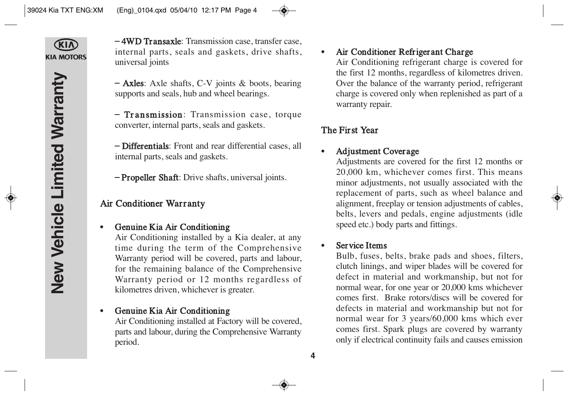**KIA MOTORS** 

– 4WD Transaxle: Transmission case, transfer case, internal parts, seals and gaskets, drive shafts, universal joints

– Axles: Axle shafts, C-V joints & boots, bearing supports and seals, hub and wheel bearings.

– Transmission: Transmission case, torque converter, internal parts, seals and gaskets.

– Differentials: Front and rear differential cases, all internal parts, seals and gaskets.

– Propeller Shaft: Drive shafts, universal joints.

## Air Conditioner Warranty

#### • Genuine Kia Air Conditioning

Air Conditioning installed by a Kia dealer, at any time during the term of the Comprehensive Warranty period will be covered, parts and labour, for the remaining balance of the Comprehensive Warranty period or 12 months regardless of kilometres driven, whichever is greater.

## • Genuine Kia Air Conditioning

Air Conditioning installed at Factory will be covered, parts and labour, during the Comprehensive Warranty period.

## • Air Conditioner Refrigerant Charge

Air Conditioning refrigerant charge is covered for the first 12 months, regardless of kilometres driven. Over the balance of the warranty period, refrigerant charge is covered only when replenished as part of a warranty repair.

## The First Year

### • Adjustment Coverage

Adjustments are covered for the first 12 months or 20,000 km, whichever comes first. This means minor adjustments, not usually associated with the replacement of parts, such as wheel balance and alignment, freeplay or tension adjustments of cables, belts, levers and pedals, engine adjustments (idle speed etc.) body parts and fittings.

#### Service Items

Bulb, fuses, belts, brake pads and shoes, filters, clutch linings, and wiper blades will be covered for defect in material and workmanship, but not for normal wear, for one year or 20,000 kms whichever comes first. Brake rotors/discs will be covered for defects in material and workmanship but not for normal wear for 3 years/60,000 kms which ever comes first. Spark plugs are covered by warranty only if electrical continuity fails and causes emission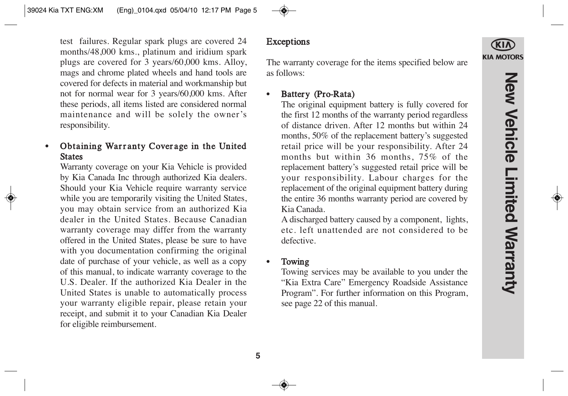test failures. Regular spark plugs are covered 24 months/48,000 kms., platinum and iridium spark plugs are covered for 3 years/60,000 kms. Alloy, mags and chrome plated wheels and hand tools are covered for defects in material and workmanship but not for normal wear for 3 years/60,000 kms. After these periods, all items listed are considered normal maintenance and will be solely the owner's responsibility.

## Obtaining Warranty Coverage in the United **States**

Warranty coverage on your Kia Vehicle is provided by Kia Canada Inc through authorized Kia dealers. Should your Kia Vehicle require warranty service while you are temporarily visiting the United States, you may obtain service from an authorized Kia dealer in the United States. Because Canadian warranty coverage may differ from the warranty offered in the United States, please be sure to have with you documentation confirming the original date of purchase of your vehicle, as well as a copy of this manual, to indicate warranty coverage to the U.S. Dealer. If the authorized Kia Dealer in the United States is unable to automatically process your warranty eligible repair, please retain your receipt, and submit it to your Canadian Kia Dealer for eligible reimbursement.

### Exceptions

The warranty coverage for the items specified below are as follows:

## Battery (Pro-Rata)

The original equipment battery is fully covered for the first 12 months of the warranty period regardless of distance driven. After 12 months but within 24 months, 50% of the replacement battery's suggested retail price will be your responsibility. After 24 months but within 36 months, 75% of the replacement battery's suggested retail price will be your responsibility. Labour charges for the replacement of the original equipment battery during the entire 36 months warranty period are covered by Kia Canada.

A discharged battery caused by a component, lights, etc. left unattended are not considered to be defective.

#### • Towing

Towing services may be available to you under the "Kia Extra Care" Emergency Roadside Assistance Program". For further information on this Program, see page 22 of this manual.

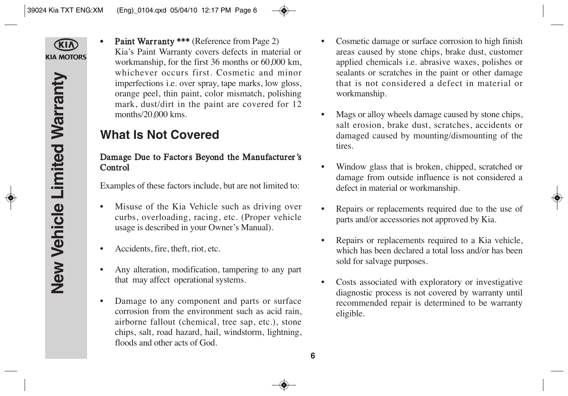**CKIN KIA MOTORS**  Paint Warranty \*\*\* (Reference from Page 2) Kia's Paint Warranty covers defects in material or workmanship, for the first 36 months or 60,000 km, whichever occurs first. Cosmetic and minor imperfections i.e. over spray, tape marks, low gloss, orange peel, thin paint, color mismatch, polishing mark, dust/dirt in the paint are covered for 12 months/20,000 kms.

# **What Is Not Covered**

## Damage Due to Factors Beyond the Manufacturer 's Control

Examples of these factors include, but are not limited to:

- Misuse of the Kia Vehicle such as driving over curbs, overloading, racing, etc. (Proper vehicle usage is described in your Owner's Manual).
- Accidents, fire, theft, riot, etc.
- Any alteration, modification, tampering to any part that may affect operational systems.
- Damage to any component and parts or surface corrosion from the environment such as acid rain, airborne fallout (chemical, tree sap, etc.), stone chips, salt, road hazard, hail, windstorm, lightning, floods and other acts of God.
- Cosmetic damage or surface corrosion to high finish areas caused by stone chips, brake dust, customer applied chemicals i.e. abrasive waxes, polishes or sealants or scratches in the paint or other damage that is not considered a defect in material or workmanship.
- Mags or alloy wheels damage caused by stone chips, salt erosion, brake dust, scratches, accidents or damaged caused by mounting/dismounting of the tires.
- Window glass that is broken, chipped, scratched or damage from outside influence is not considered a defect in material or workmanship.
- Repairs or replacements required due to the use of parts and/or accessories not approved by Kia.
- Repairs or replacements required to a Kia vehicle, which has been declared a total loss and/or has been sold for salvage purposes.
- Costs associated with exploratory or investigative diagnostic process is not covered by warranty until recommended repair is determined to be warranty eligible.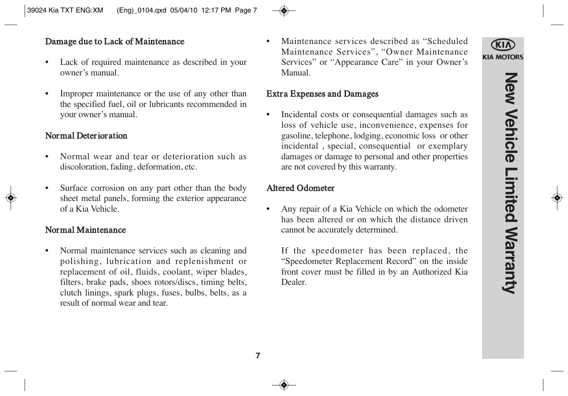## Damage due to Lack of Maintenance

- Lack of required maintenance as described in your owner's manual.
- Improper maintenance or the use of any other than the specified fuel, oil or lubricants recommended in your owner's manual.

## Normal Deterioration

- Normal wear and tear or deterioration such as discoloration, fading, deformation, etc.
- Surface corrosion on any part other than the body sheet metal panels, forming the exterior appearance of a Kia Vehicle.

## Normal Maintenance

• Normal maintenance services such as cleaning and polishing, lubrication and replenishment or replacement of oil, fluids, coolant, wiper blades, filters, brake pads, shoes rotors/discs, timing belts, clutch linings, spark plugs, fuses, bulbs, belts, as a result of normal wear and tear.

• Maintenance services described as "Scheduled Maintenance Services", "Owner Maintenance Services" or "Appearance Care" in your Owner's Manual.

#### Extra Expenses and Damages

• Incidental costs or consequential damages such as loss of vehicle use, inconvenience, expenses for gasoline, telephone, lodging, economic loss or other incidental , special, consequential or exemplary damages or damage to personal and other properties are not covered by this warranty.

### Altered Odometer

• Any repair of a Kia Vehicle on which the odometer has been altered or on which the distance driven cannot be accurately determined.

If the speedometer has been replaced, the "Speedometer Replacement Record" on the inside front cover must be filled in by an Authorized Kia Dealer.

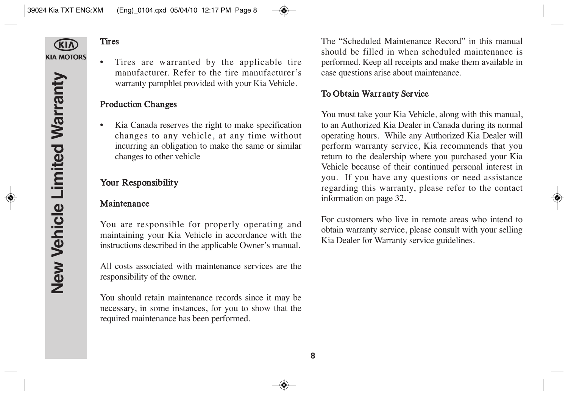

## **Tires**

• Tires are warranted by the applicable tire manufacturer. Refer to the tire manufacturer's warranty pamphlet provided with your Kia Vehicle.

## Production Changes

• Kia Canada reserves the right to make specification changes to any vehicle, at any time without incurring an obligation to make the same or similar changes to other vehicle

## Your Responsibility

## Maintenance

You are responsible for properly operating and maintaining your Kia Vehicle in accordance with the instructions described in the applicable Owner's manual.

All costs associated with maintenance services are the responsibility of the owner.

You should retain maintenance records since it may be necessary, in some instances, for you to show that the required maintenance has been performed.

The "Scheduled Maintenance Record" in this manual should be filled in when scheduled maintenance is performed. Keep all receipts and make them available in case questions arise about maintenance.

## To Obtain Warranty Service

You must take your Kia Vehicle, along with this manual, to an Authorized Kia Dealer in Canada during its normal operating hours. While any Authorized Kia Dealer will perform warranty service, Kia recommends that you return to the dealership where you purchased your Kia Vehicle because of their continued personal interest in you. If you have any questions or need assistance regarding this warranty, please refer to the contact information on page 32.

For customers who live in remote areas who intend to obtain warranty service, please consult with your selling Kia Dealer for Warranty service guidelines.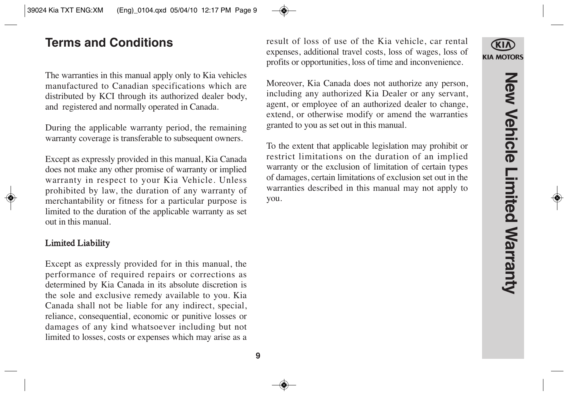# **Terms and Conditions**

The warranties in this manual apply only to Kia vehicles manufactured to Canadian specifications which are distributed by KCI through its authorized dealer body, and registered and normally operated in Canada.

During the applicable warranty period, the remaining warranty coverage is transferable to subsequent owners.

Except as expressly provided in this manual, Kia Canada does not make any other promise of warranty or implied warranty in respect to your Kia Vehicle. Unless prohibited by law, the duration of any warranty of merchantability or fitness for a particular purpose is limited to the duration of the applicable warranty as set out in this manual.

#### Limited Liability

Except as expressly provided for in this manual, the performance of required repairs or corrections as determined by Kia Canada in its absolute discretion is the sole and exclusive remedy available to you. Kia Canada shall not be liable for any indirect, special, reliance, consequential, economic or punitive losses or damages of any kind whatsoever including but not limited to losses, costs or expenses which may arise as a

result of loss of use of the Kia vehicle, car rental expenses, additional travel costs, loss of wages, loss of profits or opportunities, loss of time and inconvenience.

Moreover, Kia Canada does not authorize any person, including any authorized Kia Dealer or any servant, agent, or employee of an authorized dealer to change, extend, or otherwise modify or amend the warranties granted to you as set out in this manual.

To the extent that applicable legislation may prohibit or restrict limitations on the duration of an implied warranty or the exclusion of limitation of certain types of damages, certain limitations of exclusion set out in the warranties described in this manual may not apply to you.

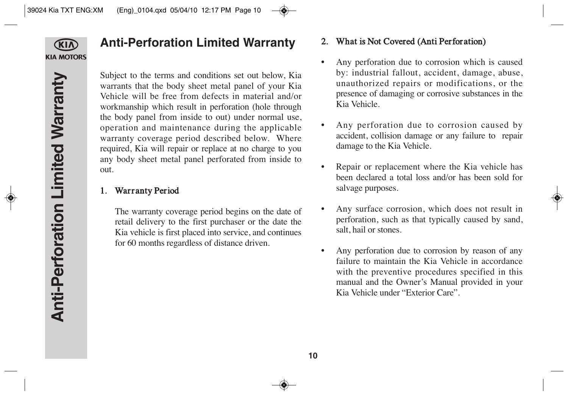

## **Anti-Perforation Limited Warranty**

Subject to the terms and conditions set out below, Kia warrants that the body sheet metal panel of your Kia Vehicle will be free from defects in material and/or workmanship which result in perforation (hole through the body panel from inside to out) under normal use, operation and maintenance during the applicable warranty coverage period described below. Where required, Kia will repair or replace at no charge to you any body sheet metal panel perforated from inside to out.

## 1. Warranty Period

The warranty coverage period begins on the date of retail delivery to the first purchaser or the date the Kia vehicle is first placed into service, and continues for 60 months regardless of distance driven.

## 2. What is Not Covered (Anti Perforation)

- Any perforation due to corrosion which is caused by: industrial fallout, accident, damage, abuse, unauthorized repairs or modifications, or the presence of damaging or corrosive substances in the Kia Vehicle.
- Any perforation due to corrosion caused by accident, collision damage or any failure to repair damage to the Kia Vehicle.
- Repair or replacement where the Kia vehicle has been declared a total loss and/or has been sold for salvage purposes.
- Any surface corrosion, which does not result in perforation, such as that typically caused by sand, salt, hail or stones.
- Any perforation due to corrosion by reason of any failure to maintain the Kia Vehicle in accordance with the preventive procedures specified in this manual and the Owner's Manual provided in your Kia Vehicle under "Exterior Care".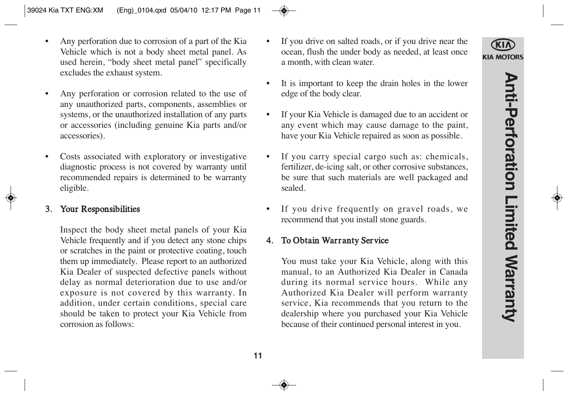**KIA MOTORS** 

- Any perforation due to corrosion of a part of the Kia Vehicle which is not a body sheet metal panel. As used herein, "body sheet metal panel" specifically excludes the exhaust system.
- Any perforation or corrosion related to the use of any unauthorized parts, components, assemblies or systems, or the unauthorized installation of any parts or accessories (including genuine Kia parts and/or accessories).
- Costs associated with exploratory or investigative diagnostic process is not covered by warranty until recommended repairs is determined to be warranty eligible.

#### 3. Your Responsibilities

Inspect the body sheet metal panels of your Kia Vehicle frequently and if you detect any stone chips or scratches in the paint or protective coating, touch them up immediately. Please report to an authorized Kia Dealer of suspected defective panels without delay as normal deterioration due to use and/or exposure is not covered by this warranty. In addition, under certain conditions, special care should be taken to protect your Kia Vehicle from corrosion as follows:

- If you drive on salted roads, or if you drive near the ocean, flush the under body as needed, at least once a month, with clean water.
- It is important to keep the drain holes in the lower edge of the body clear.
- If your Kia Vehicle is damaged due to an accident or any event which may cause damage to the paint, have your Kia Vehicle repaired as soon as possible.
- If you carry special cargo such as: chemicals, fertilizer, de-icing salt, or other corrosive substances, be sure that such materials are well packaged and sealed.
- If you drive frequently on gravel roads, we recommend that you install stone guards.

#### 4. To Obtain Warranty Service

You must take your Kia Vehicle, along with this manual, to an Authorized Kia Dealer in Canada during its normal service hours. While any Authorized Kia Dealer will perform warranty service, Kia recommends that you return to the dealership where you purchased your Kia Vehicle because of their continued personal interest in you.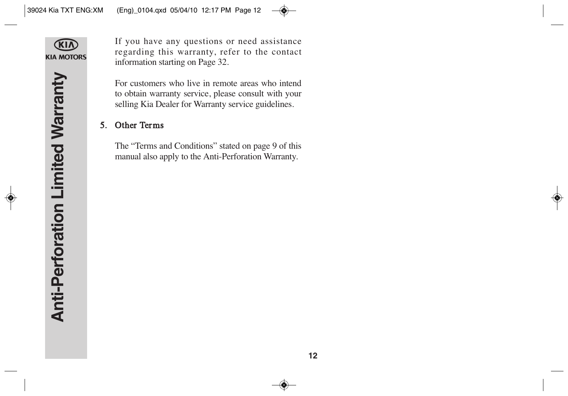

If you have any questions or need assistance regarding this warranty, refer to the contact information starting on Page 32.

For customers who live in remote areas who intend to obtain warranty service, please consult with your selling Kia Dealer for Warranty service guidelines.

## 5. Other Terms

The "Terms and Conditions" stated on page 9 of this manual also apply to the Anti-Perforation Warranty.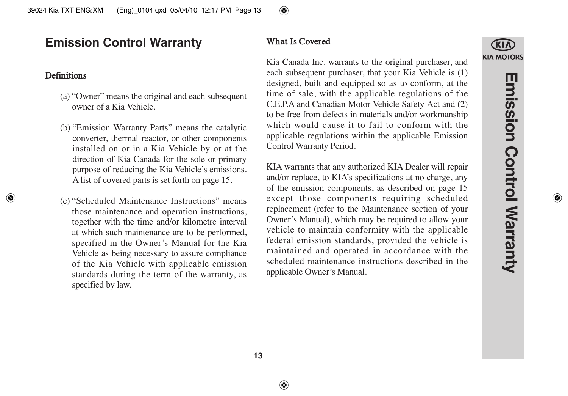# **Emission Control Warranty**

## **Definitions**

- (a) "Owner" means the original and each subsequent owner of a Kia Vehicle.
- (b) "Emission Warranty Parts" means the catalytic converter, thermal reactor, or other components installed on or in a Kia Vehicle by or at the direction of Kia Canada for the sole or primary purpose of reducing the Kia Vehicle's emissions. A list of covered parts is set forth on page 15.
- (c) "Scheduled Maintenance Instructions" means those maintenance and operation instructions, together with the time and/or kilometre interval at which such maintenance are to be performed, specified in the Owner's Manual for the Kia Vehicle as being necessary to assure compliance of the Kia Vehicle with applicable emission standards during the term of the warranty, as specified by law.

## What Is Covered

Kia Canada Inc. warrants to the original purchaser, and each subsequent purchaser, that your Kia Vehicle is (1) designed, built and equipped so as to conform, at the time of sale, with the applicable regulations of the C.E.P.A and Canadian Motor Vehicle Safety Act and (2) to be free from defects in materials and/or workmanship which would cause it to fail to conform with the applicable regulations within the applicable Emission Control Warranty Period.

KIA warrants that any authorized KIA Dealer will repair and/or replace, to KIA's specifications at no charge, any of the emission components, as described on page 15 except those components requiring scheduled replacement (refer to the Maintenance section of your Owner's Manual), which may be required to allow your vehicle to maintain conformity with the applicable federal emission standards, provided the vehicle is maintained and operated in accordance with the scheduled maintenance instructions described in the applicable Owner's Manual.

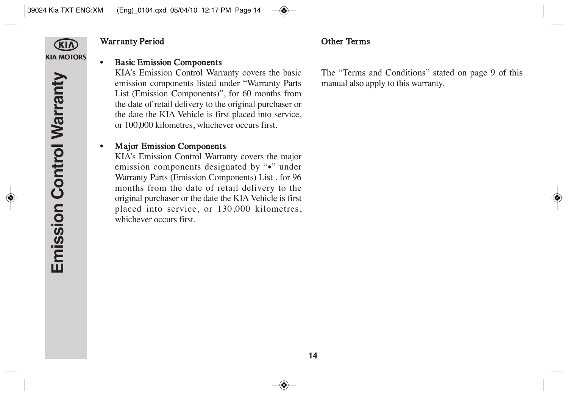

## Warranty Period

### • Basic Emission Components

KIA's Emission Control Warranty covers the basic emission components listed under "Warranty Parts List (Emission Components)", for 60 months from the date of retail delivery to the original purchaser or the date the KIA Vehicle is first placed into service, or 100,000 kilometres, whichever occurs first.

## • Major Emission Components

KIA's Emission Control Warranty covers the major emission components designated by "•" under Warranty Parts (Emission Components) List , for 96 months from the date of retail delivery to the original purchaser or the date the KIA Vehicle is first placed into service, or 130,000 kilometres, whichever occurs first.

The "Terms and Conditions" stated on page 9 of this manual also apply to this warranty.

Other Terms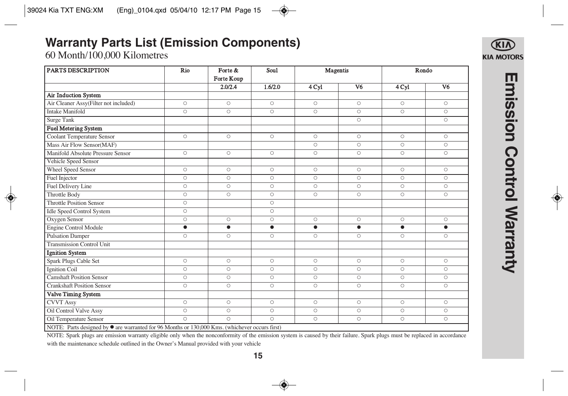# **Warranty Parts List (Emission Components)**

60 Month/100,000 Kilometres

| <b>PARTS DESCRIPTION</b>                                                                               | Rio                | Forte &            | Soul      | Magentis           |                | Rondo              |                    |
|--------------------------------------------------------------------------------------------------------|--------------------|--------------------|-----------|--------------------|----------------|--------------------|--------------------|
|                                                                                                        |                    | Forte Koup         |           |                    |                |                    |                    |
|                                                                                                        |                    | 2.0/2.4            | 1.6/2.0   | 4 <sub>Cyl</sub>   | V <sub>6</sub> | 4 Cyl              | V <sub>6</sub>     |
| Air Induction System                                                                                   |                    |                    |           |                    |                |                    |                    |
| Air Cleaner Assy(Filter not included)                                                                  | $\circ$            | $\circ$            | $\circ$   | $\circ$            | $\circ$        | $\circ$            | $\circ$            |
| <b>Intake Manifold</b>                                                                                 | $\circ$            | $\circ$            | $\circ$   | $\circ$            | $\circ$        | $\overline{\circ}$ | $\circ$            |
| Surge Tank                                                                                             |                    |                    |           |                    | $\circ$        |                    | $\circ$            |
| <b>Fuel Metering System</b>                                                                            |                    |                    |           |                    |                |                    |                    |
| <b>Coolant Temperature Sensor</b>                                                                      | $\circ$            | $\circ$            | $\circ$   | $\circ$            | $\circ$        | $\circ$            | $\circ$            |
| Mass Air Flow Sensor(MAF)                                                                              |                    |                    |           | $\circ$            | $\circ$        | $\circ$            | $\circ$            |
| Manifold Absolute Pressure Sensor                                                                      | $\circ$            | $\circ$            | $\circ$   | $\circ$            | $\circ$        | $\circ$            | $\circ$            |
| Vehicle Speed Sensor                                                                                   |                    |                    |           |                    |                |                    |                    |
| Wheel Speed Sensor                                                                                     | $\circ$            | $\circ$            | $\circ$   | $\circ$            | $\circ$        | $\circ$            | $\circ$            |
| Fuel Injector                                                                                          | $\circ$            | $\circ$            | $\circ$   | $\circ$            | $\circ$        | $\circ$            | $\circ$            |
| Fuel Delivery Line                                                                                     | $\circ$            | $\circ$            | $\circ$   | $\circ$            | $\circ$        | $\circ$            | $\circ$            |
| <b>Throttle Body</b>                                                                                   | $\circ$            | $\circ$            | $\circ$   | $\circ$            | $\circ$        | $\circ$            | $\circ$            |
| <b>Throttle Position Sensor</b>                                                                        | $\circ$            |                    | $\circ$   |                    |                |                    |                    |
| <b>Idle Speed Control System</b>                                                                       | $\circ$            |                    | $\circ$   |                    |                |                    |                    |
| Oxygen Sensor                                                                                          | $\circ$            | $\circ$            | $\circ$   | $\circ$            | $\circ$        | $\circ$            | $\circ$            |
| <b>Engine Control Module</b>                                                                           | $\bullet$          | $\bullet$          | $\bullet$ | $\bullet$          | $\bullet$      | $\bullet$          | $\bullet$          |
| <b>Pulsation Damper</b>                                                                                | $\circ$            | $\overline{\circ}$ | $\circ$   | $\overline{\circ}$ | $\circ$        | $\circ$            | $\overline{\circ}$ |
| <b>Transmission Control Unit</b>                                                                       |                    |                    |           |                    |                |                    |                    |
| <b>Ignition System</b>                                                                                 |                    |                    |           |                    |                |                    |                    |
| Spark Plugs Cable Set                                                                                  | $\circ$            | $\circ$            | $\circ$   | $\circ$            | $\circ$        | $\circ$            | $\circ$            |
| <b>Ignition Coil</b>                                                                                   | $\circ$            | $\circ$            | $\circ$   | $\circ$            | $\circ$        | $\circ$            | $\circ$            |
| <b>Camshaft Position Sensor</b>                                                                        | $\circ$            | $\circ$            | $\circ$   | $\circ$            | $\circ$        | $\Omega$           | $\circ$            |
| <b>Crankshaft Position Sensor</b>                                                                      | $\circ$            | $\circ$            | $\circ$   | $\circ$            | $\circ$        | $\circ$            | $\circ$            |
| Valve Timing System                                                                                    |                    |                    |           |                    |                |                    |                    |
| <b>CVVT</b> Assy                                                                                       | $\circ$            | $\circ$            | $\circ$   | $\circ$            | $\circ$        | $\circ$            | $\circ$            |
| Oil Control Valve Assy                                                                                 | $\circ$            | $\circ$            | $\circ$   | $\circ$            | $\circ$        | $\circ$            | $\overline{\circ}$ |
| Oil Temperature Sensor                                                                                 | $\overline{\circ}$ | $\circ$            | $\circ$   | $\circ$            | $\circ$        | $\circ$            | $\circ$            |
| NOTE: Parts designed by $\bullet$ are warranted for 96 Months or 130,000 Kms. (whichever occurs first) |                    |                    |           |                    |                |                    |                    |

Emission Control Warranty **Emission Control Warranty**

**KIA MOTORS** 

NOTE: Spark plugs are emission warranty eligible only when the nonconformity of the emission system is caused by their failure. Spark plugs must be replaced in accordance with the maintenance schedule outlined in the Owner's Manual provided with your vehicle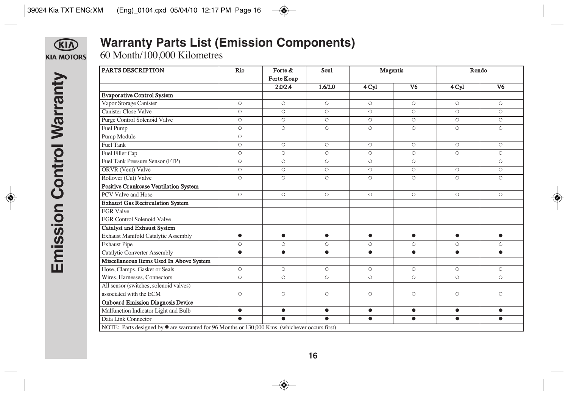

# **Warranty Parts List (Emission Components)**

60 Month/100,000 Kilometres

| <b>PARTS DESCRIPTION</b>                                                                               | Rio       | Forte &    | Sou1      | Magentis           |                    | Rondo              |                |
|--------------------------------------------------------------------------------------------------------|-----------|------------|-----------|--------------------|--------------------|--------------------|----------------|
|                                                                                                        |           | Forte Koup |           |                    |                    |                    |                |
|                                                                                                        |           | 2.0/2.4    | 1.6/2.0   | 4 Cyl              | V <sub>6</sub>     | 4 Cyl              | V <sub>6</sub> |
| <b>Evaporative Control System</b>                                                                      |           |            |           |                    |                    |                    |                |
| Vapor Storage Canister                                                                                 | $\circ$   | $\circ$    | $\circ$   | $\circ$            | $\circ$            | $\circ$            | $\circ$        |
| <b>Canister Close Valve</b>                                                                            | $\circ$   | $\circ$    | $\circ$   | $\circ$            | $\overline{\circ}$ | $\circ$            | $\circ$        |
| Purge Control Solenoid Valve                                                                           | $\circ$   | $\circ$    | $\circ$   | $\circ$            | $\circ$            | $\circ$            | $\circ$        |
| Fuel Pump                                                                                              | $\circ$   | $\circ$    | $\circ$   | $\circ$            | $\circ$            | $\overline{\circ}$ | $\circ$        |
| Pump Module                                                                                            | $\circ$   |            |           |                    |                    |                    |                |
| <b>Fuel Tank</b>                                                                                       | $\circ$   | $\circ$    | $\circ$   | $\circ$            | $\circ$            | $\circ$            | $\circ$        |
| Fuel Filler Cap                                                                                        | $\circ$   | $\circ$    | $\circ$   | $\circ$            | $\circ$            | $\circ$            | $\circ$        |
| Fuel Tank Pressure Sensor (FTP)                                                                        | $\circ$   | $\circ$    | $\circ$   | $\circ$            | $\overline{\circ}$ |                    | $\circ$        |
| ORVR (Vent) Valve                                                                                      | $\circ$   | $\circ$    | O         | $\circ$            | $\circ$            | $\circ$            | $\circ$        |
| Rollover (Cut) Valve                                                                                   | $\circ$   | $\circ$    | $\circ$   | $\circ$            | $\circ$            | $\circ$            | $\circ$        |
| <b>Positive Crankcase Ventilation System</b>                                                           |           |            |           |                    |                    |                    |                |
| PCV Valve and Hose                                                                                     | $\circ$   | $\circ$    | $\circ$   | $\circ$            | $\circ$            | $\circ$            | $\circ$        |
| <b>Exhaust Gas Recirculation System</b>                                                                |           |            |           |                    |                    |                    |                |
| <b>EGR Valve</b>                                                                                       |           |            |           |                    |                    |                    |                |
| <b>EGR Control Solenoid Valve</b>                                                                      |           |            |           |                    |                    |                    |                |
| <b>Catalyst and Exhaust System</b>                                                                     |           |            |           |                    |                    |                    |                |
| Exhaust Manifold Catalytic Assembly                                                                    | $\bullet$ | $\bullet$  | $\bullet$ | $\bullet$          | $\bullet$          | $\bullet$          | $\bullet$      |
| <b>Exhaust Pipe</b>                                                                                    | $\circ$   | $\circ$    | $\circ$   | $\circ$            | $\circ$            | $\circ$            | $\circ$        |
| Catalytic Converter Assembly                                                                           | $\bullet$ | $\bullet$  | $\bullet$ | $\bullet$          | $\bullet$          | $\bullet$          | $\bullet$      |
| Miscellaneous Items Used In Above System                                                               |           |            |           |                    |                    |                    |                |
| Hose, Clamps, Gasket or Seals                                                                          | $\circ$   | $\circ$    | $\circ$   | $\circ$            | $\circ$            | $\circ$            | O              |
| Wires, Harnesses, Connectors                                                                           | $\circ$   | $\circ$    | $\circ$   | $\overline{\circ}$ | $\circ$            | $\overline{O}$     | $\circ$        |
| All sensor (switches, solenoid valves)                                                                 |           |            |           |                    |                    |                    |                |
| associated with the ECM                                                                                | $\circ$   | $\circ$    | O         | $\circ$            | $\circ$            | $\circ$            | O              |
| <b>Onboard Emission Diagnosis Device</b>                                                               |           |            |           |                    |                    |                    |                |
| Malfunction Indicator Light and Bulb                                                                   | $\bullet$ | $\bullet$  | $\bullet$ | $\bullet$          | $\bullet$          | $\bullet$          | $\bullet$      |
| Data Link Connector                                                                                    | $\bullet$ | $\bullet$  | $\bullet$ | $\bullet$          | $\bullet$          | $\bullet$          | $\bullet$      |
| NOTE: Parts designed by $\bullet$ are warranted for 96 Months or 130,000 Kms. (whichever occurs first) |           |            |           |                    |                    |                    |                |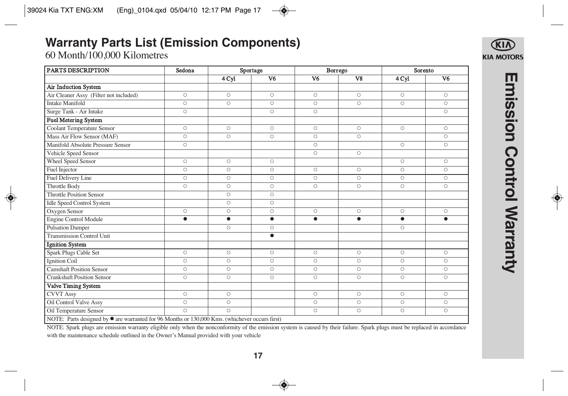# **Warranty Parts List (Emission Components)**

60 Month/100,000 Kilometres

| <b>PARTS DESCRIPTION</b>                                                                               | Sedona<br>Sportage |                    |                    | Borrego            | Sorento                 |                |                    |
|--------------------------------------------------------------------------------------------------------|--------------------|--------------------|--------------------|--------------------|-------------------------|----------------|--------------------|
|                                                                                                        |                    | 4 Cyl              | $\overline{V6}$    | V <sub>6</sub>     | $\overline{\mathbf{v}}$ | 4 Cyl          | $\overline{V6}$    |
| Air Induction System                                                                                   |                    |                    |                    |                    |                         |                |                    |
| Air Cleaner Assy (Filter not included)                                                                 | $\circ$            | $\circ$            | $\circ$            | $\circ$            | $\circ$                 | $\circ$        | $\circ$            |
| <b>Intake Manifold</b>                                                                                 | $\circ$            | $\circ$            | $\circ$            | $\circ$            | $\circ$                 | $\circ$        | $\circ$            |
| Surge Tank - Air Intake                                                                                | $\overline{\circ}$ |                    | $\circ$            | $\circ$            |                         |                | $\circ$            |
| <b>Fuel Metering System</b>                                                                            |                    |                    |                    |                    |                         |                |                    |
| <b>Coolant Temperature Sensor</b>                                                                      | $\circ$            | $\circ$            | $\circ$            | $\circ$            | $\circ$                 | $\circ$        | $\circ$            |
| Mass Air Flow Sensor (MAF)                                                                             | $\overline{\circ}$ | $\overline{\circ}$ | $\overline{\circ}$ | $\overline{\circ}$ | $\overline{\circ}$      |                | $\overline{\circ}$ |
| Manifold Absolute Pressure Sensor                                                                      | $\circ$            |                    |                    | $\circ$            |                         | $\circ$        | $\circ$            |
| Vehicle Speed Sensor                                                                                   |                    |                    |                    | $\circ$            | $\circ$                 |                |                    |
| <b>Wheel Speed Sensor</b>                                                                              | $\circ$            | $\circ$            | $\circ$            |                    |                         | $\circ$        | $\circ$            |
| Fuel Injector                                                                                          | $\circ$            | $\circ$            | $\circ$            | $\circ$            | $\circ$                 | $\circ$        | $\circ$            |
| Fuel Delivery Line                                                                                     | $\circ$            | $\circ$            | $\circ$            | $\circ$            | $\circ$                 | $\circ$        | $\circ$            |
| <b>Throttle Body</b>                                                                                   | $\circ$            | $\circ$            | $\circ$            | $\circ$            | $\overline{\circ}$      | $\circ$        | $\overline{\circ}$ |
| <b>Throttle Position Sensor</b>                                                                        |                    | $\circ$            | $\circ$            |                    |                         |                |                    |
| <b>Idle Speed Control System</b>                                                                       |                    | $\circ$            | $\circ$            |                    |                         |                |                    |
| Oxygen Sensor                                                                                          | $\circ$            | $\circ$            | $\circ$            | $\circ$            | $\circ$                 | $\circ$        | $\circ$            |
| Engine Control Module                                                                                  | $\bullet$          | $\bullet$          | $\bullet$          | $\bullet$          | $\bullet$               | $\bullet$      | $\bullet$          |
| <b>Pulsation Damper</b>                                                                                |                    | $\overline{\circ}$ | $\circ$            |                    |                         | $\circ$        |                    |
| <b>Transmission Control Unit</b>                                                                       |                    |                    | $\bullet$          |                    |                         |                |                    |
| <b>Ignition System</b>                                                                                 |                    |                    |                    |                    |                         |                |                    |
| Spark Plugs Cable Set                                                                                  | $\circ$            | $\circ$            | $\circ$            | $\circ$            | $\circ$                 | $\circ$        | $\circ$            |
| <b>Ignition Coil</b>                                                                                   | $\circ$            | $\circ$            | $\circ$            | $\circ$            | $\circ$                 | $\circ$        | $\circ$            |
| <b>Camshaft Position Sensor</b>                                                                        | $\circ$            | $\circ$            | $\circ$            | $\circ$            | $\circ$                 | $\circ$        | $\circ$            |
| <b>Crankshaft Position Sensor</b>                                                                      | $\overline{\circ}$ | $\circ$            | $\circ$            | $\overline{\circ}$ | $\circ$                 | $\overline{O}$ | $\circ$            |
| Valve Timing System                                                                                    |                    |                    |                    |                    |                         |                |                    |
| <b>CVVT</b> Assy                                                                                       | $\circ$            | $\circ$            |                    | $\circ$            | $\circ$                 | $\circ$        | $\circ$            |
| Oil Control Valve Assy                                                                                 | $\overline{\circ}$ | $\circ$            |                    | $\circ$            | $\overline{\circ}$      | $\circ$        | $\circ$            |
| <b>Oil Temperature Sensor</b>                                                                          | $\bigcirc$         | $\circ$            |                    | $\circ$            | $\circ$                 | $\circ$        | $\circ$            |
| NOTE: Parts designed by $\bullet$ are warranted for 96 Months or 130,000 Kms. (whichever occurs first) |                    |                    |                    |                    |                         |                |                    |

Emission Control Warranty **Emission Control Warranty**

NOTE: Spark plugs are emission warranty eligible only when the nonconformity of the emission system is caused by their failure. Spark plugs must be replaced in accordance

with the maintenance schedule outlined in the Owner's Manual provided with your vehicle

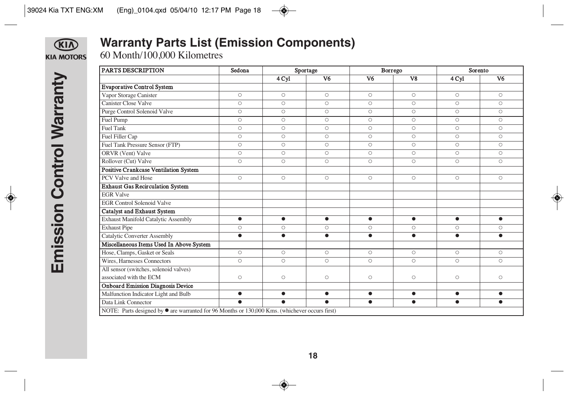## KID **KIA MOTORS**

# **Warranty Parts List (Emission Components)**

60 Month/100,000 Kilometres

| PARTS DESCRIPTION                                                                                      | Sedona<br>Sportage |           |                 |                 | Borrego                           | Sorento            |                 |
|--------------------------------------------------------------------------------------------------------|--------------------|-----------|-----------------|-----------------|-----------------------------------|--------------------|-----------------|
|                                                                                                        |                    | 4 Cyl     | $\overline{V6}$ | $\overline{V6}$ | $\overline{\mathbf{v}\mathbf{g}}$ | 4 Cyl              | $\overline{V6}$ |
| <b>Evaporative Control System</b>                                                                      |                    |           |                 |                 |                                   |                    |                 |
| Vapor Storage Canister                                                                                 | $\circ$            | $\circ$   | $\circ$         | $\circ$         | $\circ$                           | $\circ$            | $\circ$         |
| <b>Canister Close Valve</b>                                                                            | $\circ$            | $\circ$   | $\circ$         | $\circ$         | $\circ$                           | $\circ$            | $\circ$         |
| Purge Control Solenoid Valve                                                                           | $\circ$            | $\circ$   | $\circ$         | $\circ$         | $\circ$                           | $\circ$            | $\circ$         |
| Fuel Pump                                                                                              | $\circ$            | $\circ$   | $\circ$         | $\circ$         | $\circ$                           | $\circ$            | $\circ$         |
| <b>Fuel Tank</b>                                                                                       | $\circ$            | $\circ$   | $\circ$         | $\circ$         | $\circ$                           | $\circ$            | $\circ$         |
| Fuel Filler Cap                                                                                        | $\circ$            | $\circ$   | $\circ$         | $\circ$         | $\circ$                           | $\circ$            | $\circ$         |
| Fuel Tank Pressure Sensor (FTP)                                                                        | $\circ$            | $\circ$   | $\circ$         | $\circ$         | $\circ$                           | $\circ$            | $\circ$         |
| ORVR (Vent) Valve                                                                                      | $\circ$            | $\circ$   | $\circ$         | $\circ$         | $\circ$                           | $\circ$            | $\circ$         |
| Rollover (Cut) Valve                                                                                   | $\circ$            | $\circ$   | $\circ$         | $\circ$         | $\circ$                           | $\overline{\circ}$ | $\circ$         |
| Positive Crankcase Ventilation System                                                                  |                    |           |                 |                 |                                   |                    |                 |
| PCV Valve and Hose                                                                                     | $\circ$            | $\circ$   | $\circ$         | $\circ$         | $\circ$                           | $\circ$            | $\circ$         |
| <b>Exhaust Gas Recirculation System</b>                                                                |                    |           |                 |                 |                                   |                    |                 |
| <b>EGR</b> Valve                                                                                       |                    |           |                 |                 |                                   |                    |                 |
| <b>EGR Control Solenoid Valve</b>                                                                      |                    |           |                 |                 |                                   |                    |                 |
| <b>Catalyst and Exhaust System</b>                                                                     |                    |           |                 |                 |                                   |                    |                 |
| Exhaust Manifold Catalytic Assembly                                                                    | $\bullet$          | $\bullet$ | $\bullet$       | $\bullet$       | $\bullet$                         | $\bullet$          | $\bullet$       |
| <b>Exhaust Pipe</b>                                                                                    | $\circ$            | $\circ$   | $\circ$         | $\circ$         | $\circ$                           | $\circ$            | O               |
| <b>Catalytic Converter Assembly</b>                                                                    | $\bullet$          | $\bullet$ | $\bullet$       | $\bullet$       | $\bullet$                         | $\bullet$          | $\bullet$       |
| Miscellaneous Items Used In Above System                                                               |                    |           |                 |                 |                                   |                    |                 |
| Hose, Clamps, Gasket or Seals                                                                          | $\circ$            | $\circ$   | $\circ$         | $\circ$         | $\circ$                           | $\circ$            | $\circ$         |
| Wires, Harnesses Connectors                                                                            | $\circ$            | $\circ$   | $\circ$         | $\circ$         | $\circ$                           | $\overline{\circ}$ | $\circ$         |
| All sensor (switches, solenoid valves)                                                                 |                    |           |                 |                 |                                   |                    |                 |
| associated with the ECM                                                                                | $\circ$            | $\circ$   | $\circ$         | $\circ$         | $\circ$                           | $\circ$            | $\circ$         |
| <b>Onboard Emission Diagnosis Device</b>                                                               |                    |           |                 |                 |                                   |                    |                 |
| Malfunction Indicator Light and Bulb                                                                   | $\bullet$          | $\bullet$ | $\bullet$       | $\bullet$       | $\bullet$                         | $\bullet$          | $\bullet$       |
| Data Link Connector                                                                                    | $\bullet$          | $\bullet$ | $\bullet$       | $\bullet$       | $\bullet$                         | $\bullet$          | $\bullet$       |
| NOTE: Parts designed by $\bullet$ are warranted for 96 Months or 130,000 Kms. (whichever occurs first) |                    |           |                 |                 |                                   |                    |                 |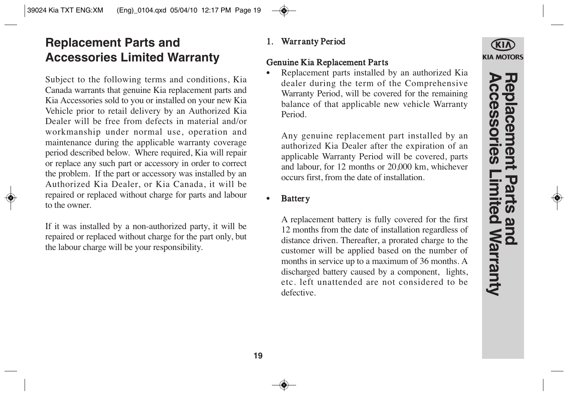# **Replacement Parts and Accessories Limited Warranty**

Subject to the following terms and conditions, Kia Canada warrants that genuine Kia replacement parts and Kia Accessories sold to you or installed on your new Kia Vehicle prior to retail delivery by an Authorized Kia Dealer will be free from defects in material and/or workmanship under normal use, operation and maintenance during the applicable warranty coverage period described below. Where required, Kia will repair or replace any such part or accessory in order to correct the problem. If the part or accessory was installed by an Authorized Kia Dealer, or Kia Canada, it will be repaired or replaced without charge for parts and labour to the owner.

If it was installed by a non-authorized party, it will be repaired or replaced without charge for the part only, but the labour charge will be your responsibility.

## 1. Warranty Period

## Genuine Kia Replacement Parts

Replacement parts installed by an authorized Kia dealer during the term of the Comprehensive Warranty Period, will be covered for the remaining balance of that applicable new vehicle Warranty Period.

Any genuine replacement part installed by an authorized Kia Dealer after the expiration of an applicable Warranty Period will be covered, parts and labour, for 12 months or 20,000 km, whichever occurs first, from the date of installation.

## **Battery**

A replacement battery is fully covered for the first 12 months from the date of installation regardless of distance driven. Thereafter, a prorated charge to the customer will be applied based on the number of months in service up to a maximum of 36 months. A discharged battery caused by a component, lights, etc. left unattended are not considered to be defective.

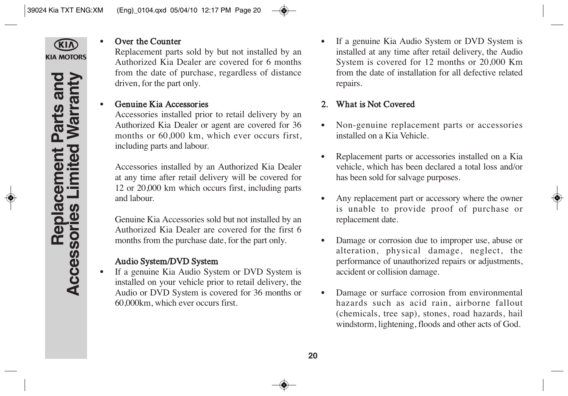

#### Over the Counter

Replacement parts sold by but not installed by an Authorized Kia Dealer are covered for 6 months from the date of purchase, regardless of distance driven, for the part only.

## • Genuine Kia Accessories

Accessories installed prior to retail delivery by an Authorized Kia Dealer or agent are covered for 36 months or 60,000 km, which ever occurs first, including parts and labour.

Accessories installed by an Authorized Kia Dealer at any time after retail delivery will be covered for 12 or 20,000 km which occurs first, including parts and labour.

Genuine Kia Accessories sold but not installed by an Authorized Kia Dealer are covered for the first 6 months from the purchase date, for the part only.

## Audio System/DVD System

• If a genuine Kia Audio System or DVD System is installed on your vehicle prior to retail delivery, the Audio or DVD System is covered for 36 months or 60,000km, which ever occurs first.

If a genuine Kia Audio System or DVD System is installed at any time after retail delivery, the Audio System is covered for 12 months or 20,000 Km from the date of installation for all defective related repairs.

## 2. What is Not Covered

- Non-genuine replacement parts or accessories installed on a Kia Vehicle.
- Replacement parts or accessories installed on a Kia vehicle, which has been declared a total loss and/or has been sold for salvage purposes.
- Any replacement part or accessory where the owner is unable to provide proof of purchase or replacement date.
- Damage or corrosion due to improper use, abuse or alteration, physical damage, neglect, the performance of unauthorized repairs or adjustments, accident or collision damage.
- Damage or surface corrosion from environmental hazards such as acid rain, airborne fallout (chemicals, tree sap), stones, road hazards, hail windstorm, lightening, floods and other acts of God.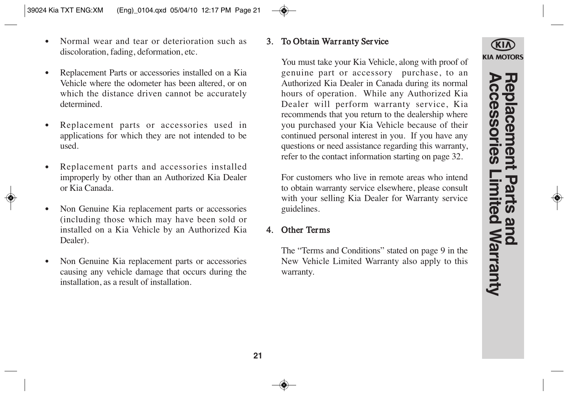**Accessories Limited Warranty Replacement Parts and**  eplacement Parts and<br>ccessories Limited Warranty

- Normal wear and tear or deterioration such as discoloration, fading, deformation, etc.
- Replacement Parts or accessories installed on a Kia Vehicle where the odometer has been altered, or on which the distance driven cannot be accurately determined.
- Replacement parts or accessories used in applications for which they are not intended to be used.
- Replacement parts and accessories installed improperly by other than an Authorized Kia Dealer or Kia Canada.
- Non Genuine Kia replacement parts or accessories (including those which may have been sold or installed on a Kia Vehicle by an Authorized Kia Dealer).
- Non Genuine Kia replacement parts or accessories causing any vehicle damage that occurs during the installation, as a result of installation.

## 3. To Obtain Warranty Service

You must take your Kia Vehicle, along with proof of genuine part or accessory purchase, to an Authorized Kia Dealer in Canada during its normal hours of operation. While any Authorized Kia Dealer will perform warranty service, Kia recommends that you return to the dealership where you purchased your Kia Vehicle because of their continued personal interest in you. If you have any questions or need assistance regarding this warranty, refer to the contact information starting on page 32.

For customers who live in remote areas who intend to obtain warranty service elsewhere, please consult with your selling Kia Dealer for Warranty service guidelines.

## 4. Other Terms

The "Terms and Conditions" stated on page 9 in the New Vehicle Limited Warranty also apply to this warranty.

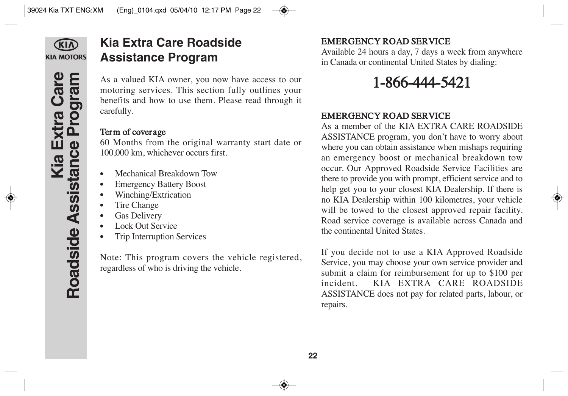

**Kia Extra Care** 

**Roadside Assistance Program**

**Kia Extra Care<br>Roadside Assistance Program** 

# **Kia Extra Care Roadside Assistance Program**

As a valued KIA owner, you now have access to our motoring services. This section fully outlines your benefits and how to use them. Please read through it carefully.

## Term of coverage

60 Months from the original warranty start date or 100,000 km, whichever occurs first.

- Mechanical Breakdown Tow
- Emergency Battery Boost
- Winching/Extrication
- Tire Change
- Gas Delivery
- Lock Out Service
- Trip Interruption Services

Note: This program covers the vehicle registered, regardless of who is driving the vehicle.

## EMERGENCY ROAD SERVICE

Available 24 hours a day, 7 days a week from anywhere in Canada or continental United States by dialing:

# 1-866-444-5421

## EMERGENCY ROAD SERVICE

As a member of the KIA EXTRA CARE ROADSIDE ASSISTANCE program, you don't have to worry about where you can obtain assistance when mishaps requiring an emergency boost or mechanical breakdown tow occur. Our Approved Roadside Service Facilities are there to provide you with prompt, efficient service and to help get you to your closest KIA Dealership. If there is no KIA Dealership within 100 kilometres, your vehicle will be towed to the closest approved repair facility. Road service coverage is available across Canada and the continental United States.

If you decide not to use a KIA Approved Roadside Service, you may choose your own service provider and submit a claim for reimbursement for up to \$100 per incident. KIA EXTRA CARE ROADSIDE ASSISTANCE does not pay for related parts, labour, or repairs.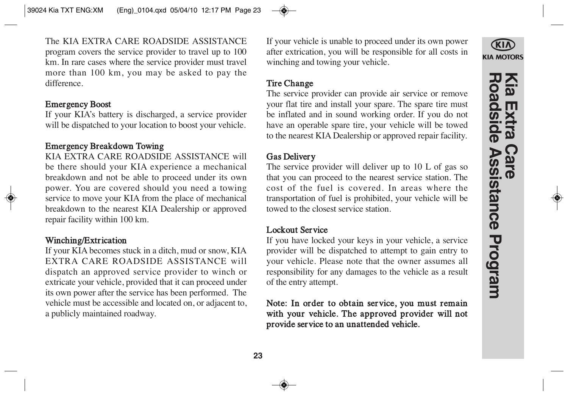The KIA EXTRA CARE ROADSIDE ASSISTANCE program covers the service provider to travel up to 100 km. In rare cases where the service provider must travel more than 100 km, you may be asked to pay the difference.

#### Emergency Boost

If your KIA's battery is discharged, a service provider will be dispatched to your location to boost your vehicle.

## Emergency Breakdown Towing

KIA EXTRA CARE ROADSIDE ASSISTANCE will be there should your KIA experience a mechanical breakdown and not be able to proceed under its own power. You are covered should you need a towing service to move your KIA from the place of mechanical breakdown to the nearest KIA Dealership or approved repair facility within 100 km.

## Winching/Extrication

If your KIA becomes stuck in a ditch, mud or snow, KIA EXTRA CARE ROADSIDE ASSISTANCE will dispatch an approved service provider to winch or extricate your vehicle, provided that it can proceed under its own power after the service has been performed. The vehicle must be accessible and located on, or adjacent to, a publicly maintained roadway.

If your vehicle is unable to proceed under its own power after extrication, you will be responsible for all costs in winching and towing your vehicle.

## Tire Change

The service provider can provide air service or remove your flat tire and install your spare. The spare tire must be inflated and in sound working order. If you do not have an operable spare tire, your vehicle will be towed to the nearest KIA Dealership or approved repair facility.

## Gas Delivery

The service provider will deliver up to 10 L of gas so that you can proceed to the nearest service station. The cost of the fuel is covered. In areas where the transportation of fuel is prohibited, your vehicle will be towed to the closest service station.

## Lockout Service

If you have locked your keys in your vehicle, a service provider will be dispatched to attempt to gain entry to your vehicle. Please note that the owner assumes all responsibility for any damages to the vehicle as a result of the entry attempt.

## Note: In order to obtain service, you must remain with your vehicle. The approved provider will not provide service to an unattended vehicle.

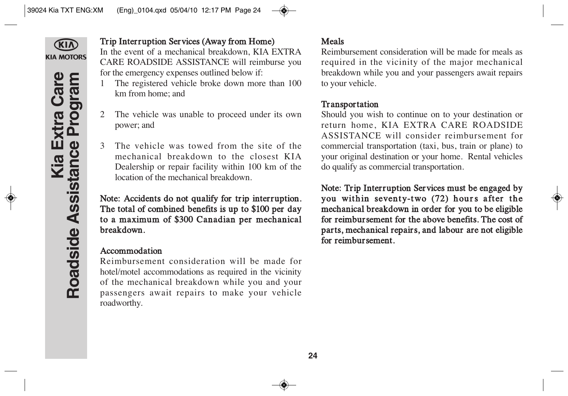

## Trip Interruption Services (Away from Home)

In the event of a mechanical breakdown, KIA EXTRA CARE ROADSIDE ASSISTANCE will reimburse you for the emergency expenses outlined below if:

- 1 The registered vehicle broke down more than 100 km from home; and
- 2 The vehicle was unable to proceed under its own power; and
- 3 The vehicle was towed from the site of the mechanical breakdown to the closest KIA Dealership or repair facility within 100 km of the location of the mechanical breakdown.

Note: Accidents do not qualify for trip interruption. The total of combined benefits is up to \$100 per day to a maximum of \$300 Canadian per mechanical breakdown.

## Accommodation

Reimbursement consideration will be made for hotel/motel accommodations as required in the vicinity of the mechanical breakdown while you and your passengers await repairs to make your vehicle roadworthy.

## Meals

Reimbursement consideration will be made for meals as required in the vicinity of the major mechanical breakdown while you and your passengers await repairs to your vehicle.

## **Transportation**

Should you wish to continue on to your destination or return home, KIA EXTRA CARE ROADSIDE ASSISTANCE will consider reimbursement for commercial transportation (taxi, bus, train or plane) to your original destination or your home. Rental vehicles do qualify as commercial transportation.

Note: Trip Interruption Services must be engaged by you within seventy-two (72) hours after the mechanical breakdown in order for you to be eligible for reimbursement for the above benefits. The cost of parts, mechanical repairs, and labour are not eligible for reimbursement.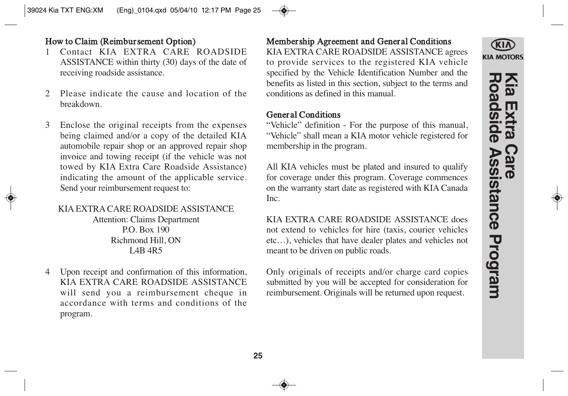## How to Claim (Reimbursement Option)

- 1 Contact KIA EXTRA CARE ROADSIDE ASSISTANCE within thirty (30) days of the date of receiving roadside assistance.
- 2 Please indicate the cause and location of the breakdown.
- 3 Enclose the original receipts from the expenses being claimed and/or a copy of the detailed KIA automobile repair shop or an approved repair shop invoice and towing receipt (if the vehicle was not towed by KIA Extra Care Roadside Assistance) indicating the amount of the applicable service. Send your reimbursement request to:

#### KIA EXTRA CARE ROADSIDE ASSISTANCE Attention: Claims Department

P.O. Box 190 Richmond Hill, ON L<sub>4</sub>R<sub>5</sub>

4 Upon receipt and confirmation of this information, KIA EXTRA CARE ROADSIDE ASSISTANCE will send you a reimbursement cheque in accordance with terms and conditions of the program.

## Membership Agreement and General Conditions

KIA EXTRA CARE ROADSIDE ASSISTANCE agrees to provide services to the registered KIA vehicle specified by the Vehicle Identification Number and the benefits as listed in this section, subject to the terms and conditions as defined in this manual.

## General Conditions

"Vehicle" definition - For the purpose of this manual, "Vehicle" shall mean a KIA motor vehicle registered for membership in the program.

All KIA vehicles must be plated and insured to qualify for coverage under this program. Coverage commences on the warranty start date as registered with KIA Canada Inc.

KIA EXTRA CARE ROADSIDE ASSISTANCE does not extend to vehicles for hire (taxis, courier vehicles etc…), vehicles that have dealer plates and vehicles not meant to be driven on public roads.

Only originals of receipts and/or charge card copies submitted by you will be accepted for consideration for reimbursement. Originals will be returned upon request.

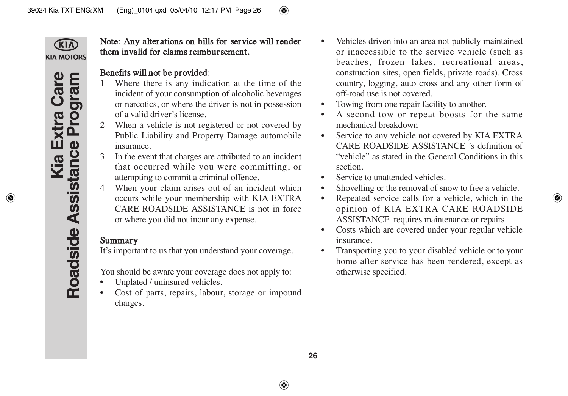

Note: Any alterations on bills for service will render them invalid for claims reimbursement.

## Benefits will not be provided:

- 1 Where there is any indication at the time of the incident of your consumption of alcoholic beverages or narcotics, or where the driver is not in possession of a valid driver's license.
- 2 When a vehicle is not registered or not covered by Public Liability and Property Damage automobile insurance.
- 3 In the event that charges are attributed to an incident that occurred while you were committing, or attempting to commit a criminal offence.
- 4 When your claim arises out of an incident which occurs while your membership with KIA EXTRA CARE ROADSIDE ASSISTANCE is not in force or where you did not incur any expense.

## Summary

It's important to us that you understand your coverage.

You should be aware your coverage does not apply to:

- Unplated / uninsured vehicles.
- Cost of parts, repairs, labour, storage or impound charges.
- Vehicles driven into an area not publicly maintained or inaccessible to the service vehicle (such as beaches, frozen lakes, recreational areas, construction sites, open fields, private roads). Cross country, logging, auto cross and any other form of off-road use is not covered.
- Towing from one repair facility to another.
- A second tow or repeat boosts for the same mechanical breakdown
- Service to any vehicle not covered by KIA EXTRA CARE ROADSIDE ASSISTANCE 's definition of "vehicle" as stated in the General Conditions in this section.
- Service to unattended vehicles.
- Shovelling or the removal of snow to free a vehicle.
- Repeated service calls for a vehicle, which in the opinion of KIA EXTRA CARE ROADSIDE ASSISTANCE requires maintenance or repairs.
- Costs which are covered under your regular vehicle insurance.
- Transporting you to your disabled vehicle or to your home after service has been rendered, except as otherwise specified.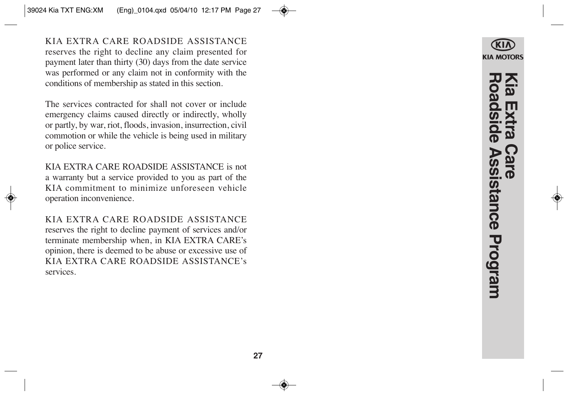KIA EXTRA CARE ROADSIDE ASSISTANCE reserves the right to decline any claim presented for payment later than thirty (30) days from the date service was performed or any claim not in conformity with the conditions of membership as stated in this section.

The services contracted for shall not cover or include emergency claims caused directly or indirectly, wholly or partly, by war, riot, floods, invasion, insurrection, civil commotion or while the vehicle is being used in military or police service.

KIA EXTRA CARE ROADSIDE ASSISTANCE is not a warranty but a service provided to you as part of the KIA commitment to minimize unforeseen vehicle operation inconvenience.

KIA EXTRA CARE ROADSIDE ASSISTANCE reserves the right to decline payment of services and/or terminate membership when, in KIA EXTRA CARE's opinion, there is deemed to be abuse or excessive use of KIA EXTRA CARE ROADSIDE ASSISTANCE's services.



**Roadside Assistance Program Kia Extra Care loadside Assistance Program**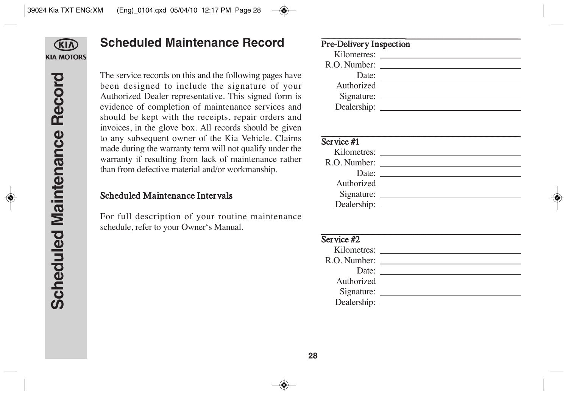

## **Scheduled Maintenance Record**

The service records on this and the following pages have been designed to include the signature of your Authorized Dealer representative. This signed form is evidence of completion of maintenance services and should be kept with the receipts, repair orders and invoices, in the glove box. All records should be given to any subsequent owner of the Kia Vehicle. Claims made during the warranty term will not qualify under the warranty if resulting from lack of maintenance rather than from defective material and/or workmanship.

## Scheduled Maintenance Intervals

For full description of your routine maintenance schedule, refer to your Owner's Manual.

| <b>Pre-Delivery Inspection</b> |                                                                                                                                                                                                                                |
|--------------------------------|--------------------------------------------------------------------------------------------------------------------------------------------------------------------------------------------------------------------------------|
|                                | Kilometres:                                                                                                                                                                                                                    |
|                                | R.O. Number:                                                                                                                                                                                                                   |
|                                | Date: the contract of the contract of the contract of the contract of the contract of the contract of the contract of the contract of the contract of the contract of the contract of the contract of the contract of the cont |
| Authorized                     |                                                                                                                                                                                                                                |
| Signature:                     |                                                                                                                                                                                                                                |
|                                |                                                                                                                                                                                                                                |
|                                |                                                                                                                                                                                                                                |

| Service #1     |  |
|----------------|--|
|                |  |
| R.O. Number:   |  |
| Date: $\_\_$   |  |
| Authorized     |  |
|                |  |
| Dealership: __ |  |
|                |  |

| Service $#2$ |  |
|--------------|--|
| Kilometres:  |  |
| R.O. Number: |  |
| Date:        |  |
| Authorized   |  |
| Signature:   |  |
| Dealership:  |  |
|              |  |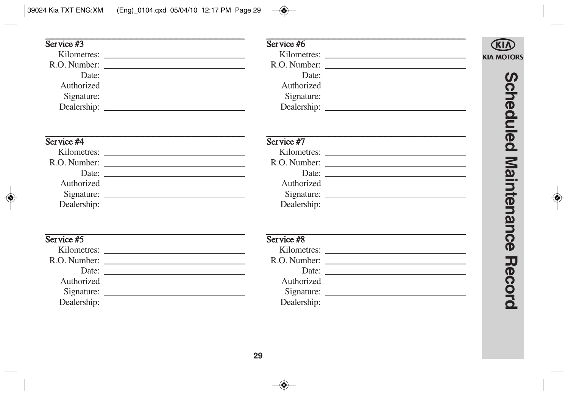#### $S$ ervice #3 Service #6 Kilometres: Kilometres: **KIA MOTORS** R.O. Number: R.O. Number: Date: Date: <u>(၇</u> Authorized Authorized **cheduled** Service #4 Service #7 Kilometres: Kilometres: **Maintenance** R.O. Number: R.O. Number: Date: Date: Authorized Authorized Dealership: Note all the state of the state of the state of the state of the state of the state of the state of the state of the state of the state of the state of the state of the state of the state of the state of the st Dealership: Note that the contract of the contract of the contract of the contract of the contract of the contract of the contract of the contract of the contract of the contract of the contract of the contract of the cont  $S$ ervice #5 Service #8 Kilometres: R.O. Number: R.O. Number: **Record** Date: Date: Authorized Authorized Dealership: Dealership: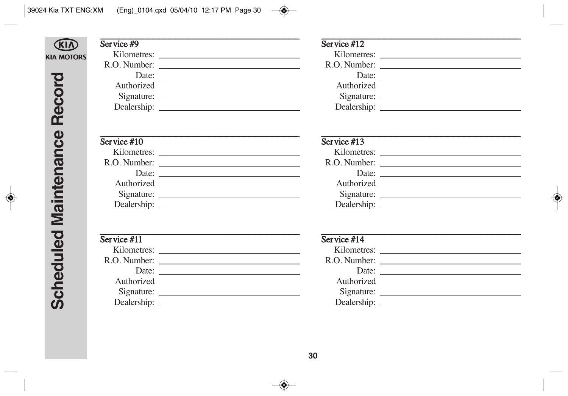## **CKIN KIA MOTORS**

#### Service  $#9$

Kilometres: R.O. Number: Date:  $\frac{1}{\sqrt{1-\frac{1}{2}}\sqrt{1-\frac{1}{2}}\sqrt{1-\frac{1}{2}}\sqrt{1-\frac{1}{2}}\sqrt{1-\frac{1}{2}}\sqrt{1-\frac{1}{2}}\sqrt{1-\frac{1}{2}}\sqrt{1-\frac{1}{2}}\sqrt{1-\frac{1}{2}}\sqrt{1-\frac{1}{2}}\sqrt{1-\frac{1}{2}}\sqrt{1-\frac{1}{2}}\sqrt{1-\frac{1}{2}}\sqrt{1-\frac{1}{2}}\sqrt{1-\frac{1}{2}}\sqrt{1-\frac{1}{2}}\sqrt{1-\frac{1}{2}}\sqrt{1-\frac{1}{2}}\sqrt{1-\frac{1}{2}}$ Authorized 

## Service  $#10$

| Kilometres:  |  |
|--------------|--|
| R.O. Number: |  |
| Date:        |  |
| Authorized   |  |
| Signature:   |  |
| Dealership:  |  |
|              |  |

| Service #11  |  |
|--------------|--|
| Kilometres:  |  |
| R.O. Number: |  |
| Date:        |  |
| Authorized   |  |
| Signature:   |  |
| Dealership:  |  |

#### Service  $#12$

## Service  $#13$ Kilometres:  $R \cap$  Number

| v. Fullivu. |  |
|-------------|--|
| Date:       |  |
| Authorized  |  |
| Signature:  |  |
| Dealership: |  |

| Service #14  |  |
|--------------|--|
|              |  |
| R.O. Number: |  |
| Date:        |  |
| Authorized   |  |
|              |  |
|              |  |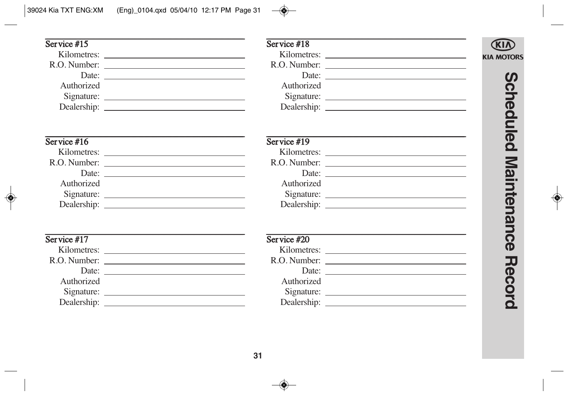#### Service  $#15$  $Service #18$ Kilometres: Kilometres: **KIA MOTORS** R.O. Number: R.O. Number: Date: Date: <u>(၇</u> Authorized Authorized **cheduled**  $S$ ervice #16  $S$ ervice #19 Kilometres: Kilometres: **Maintenance** R.O. Number: R.O. Number: Date: Date: Authorized Authorized Dealership: Note all the state of the state of the state of the state of the state of the state of the state of the state of the state of the state of the state of the state of the state of the state of the state of the st Dealership: Note that the contract of the contract of the contract of the contract of the contract of the contract of the contract of the contract of the contract of the contract of the contract of the contract of the cont  $S$ ervice #17  $S$ ervice #20 R.O. Number: R.O. Number: **Record** Date: Date: Authorized Authorized Dealership: Dealership: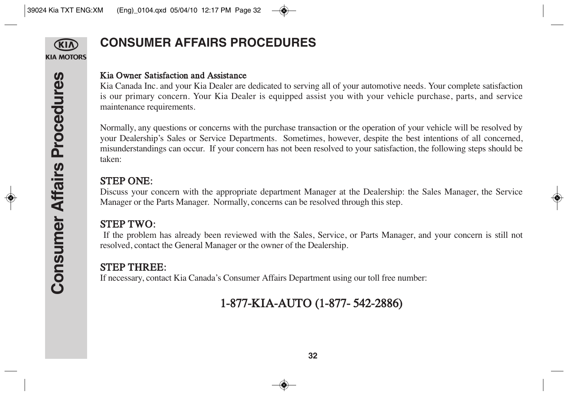

# **CONSUMER AFFAIRS PROCEDURES**

## Kia Owner Satisfaction and Assistance

Kia Canada Inc. and your Kia Dealer are dedicated to serving all of your automotive needs. Your complete satisfaction is our primary concern. Your Kia Dealer is equipped assist you with your vehicle purchase, parts, and service maintenance requirements.

Normally, any questions or concerns with the purchase transaction or the operation of your vehicle will be resolved by your Dealership's Sales or Service Departments. Sometimes, however, despite the best intentions of all concerned, misunderstandings can occur. If your concern has not been resolved to your satisfaction, the following steps should be taken:

## STEP ONE:

Discuss your concern with the appropriate department Manager at the Dealership: the Sales Manager, the Service Manager or the Parts Manager. Normally, concerns can be resolved through this step.

## STEP TWO:

If the problem has already been reviewed with the Sales, Service, or Parts Manager, and your concern is still not resolved, contact the General Manager or the owner of the Dealership.

## STEP THREE:

If necessary, contact Kia Canada's Consumer Affairs Department using our toll free number:

# 1-877-KIA-AUTO (1-877- 542-2886)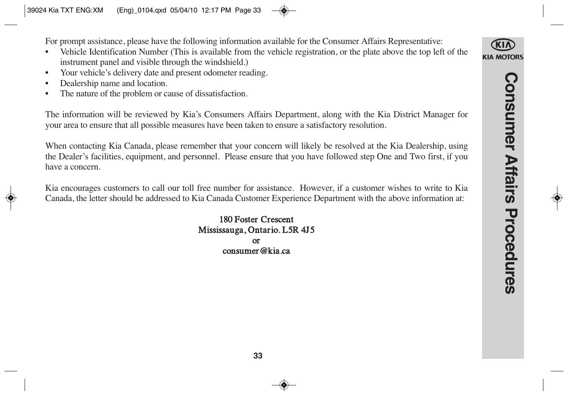For prompt assistance, please have the following information available for the Consumer Affairs Representative:

- Vehicle Identification Number (This is available from the vehicle registration, or the plate above the top left of the instrument panel and visible through the windshield.)
- Your vehicle's delivery date and present odometer reading.
- Dealership name and location.
- The nature of the problem or cause of dissatisfaction.

The information will be reviewed by Kia's Consumers Affairs Department, along with the Kia District Manager for your area to ensure that all possible measures have been taken to ensure a satisfactory resolution.

When contacting Kia Canada, please remember that your concern will likely be resolved at the Kia Dealership, using the Dealer's facilities, equipment, and personnel. Please ensure that you have followed step One and Two first, if you have a concern.

Kia encourages customers to call our toll free number for assistance. However, if a customer wishes to write to Kia Canada, the letter should be addressed to Kia Canada Customer Experience Department with the above information at:

> 180 Foster Crescent Mississauga, Ontario. L5R 4J5 or consumer@kia.ca

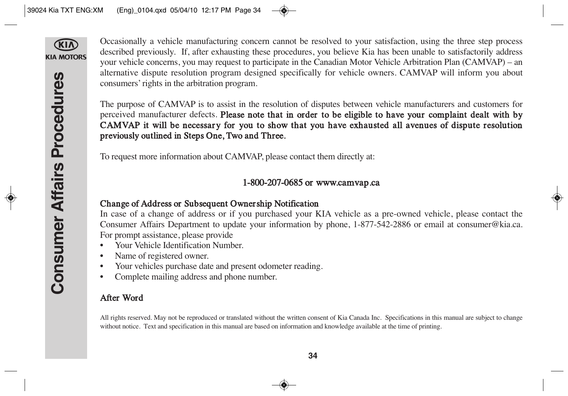

Occasionally a vehicle manufacturing concern cannot be resolved to your satisfaction, using the three step process described previously. If, after exhausting these procedures, you believe Kia has been unable to satisfactorily address your vehicle concerns, you may request to participate in the Canadian Motor Vehicle Arbitration Plan (CAMVAP) – an alternative dispute resolution program designed specifically for vehicle owners. CAMVAP will inform you about consumers' rights in the arbitration program.

The purpose of CAMVAP is to assist in the resolution of disputes between vehicle manufacturers and customers for perceived manufacturer defects. Please note that in order to be eligible to have your complaint dealt with by CAMVAP it will be necessary for you to show that you have exhausted all avenues of dispute resolution previously outlined in Steps One, Two and Three.

To request more information about CAMVAP, please contact them directly at:

## 1-800-207-0685 or www.camvap.ca

## Change of Address or Subsequent Ownership Notification

In case of a change of address or if you purchased your KIA vehicle as a pre-owned vehicle, please contact the Consumer Affairs Department to update your information by phone, 1-877-542-2886 or email at consumer@kia.ca. For prompt assistance, please provide

- Your Vehicle Identification Number.
- Name of registered owner.
- Your vehicles purchase date and present odometer reading.
- Complete mailing address and phone number.

## After Word

All rights reserved. May not be reproduced or translated without the written consent of Kia Canada Inc. Specifications in this manual are subject to change without notice. Text and specification in this manual are based on information and knowledge available at the time of printing.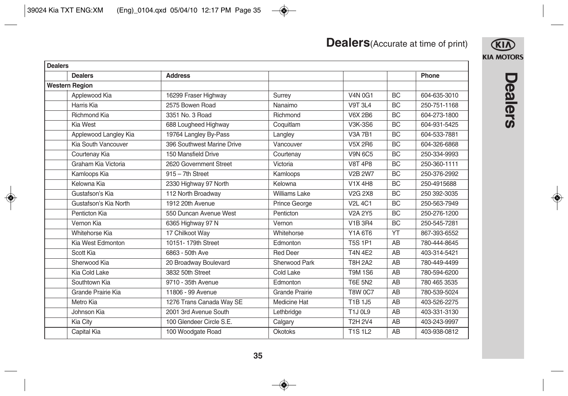| <b>Dealers</b> (Accurate at time of print) |  |
|--------------------------------------------|--|
|--------------------------------------------|--|



| <b>Dealers</b>        |                            |                      |                                  |           |              |
|-----------------------|----------------------------|----------------------|----------------------------------|-----------|--------------|
| <b>Dealers</b>        | <b>Address</b>             |                      |                                  |           | Phone        |
| <b>Western Region</b> |                            |                      |                                  |           |              |
| Applewood Kia         | 16299 Fraser Highway       | Surrey               | V4N 0G1                          | <b>BC</b> | 604-635-3010 |
| Harris Kia            | 2575 Bowen Road            | Nanaimo              | <b>V9T 3L4</b>                   | <b>BC</b> | 250-751-1168 |
| <b>Richmond Kia</b>   | 3351 No. 3 Road            | Richmond             | <b>V6X 2B6</b>                   | <b>BC</b> | 604-273-1800 |
| Kia West              | 688 Lougheed Highway       | Coquitlam            | <b>V3K-3S6</b>                   | <b>BC</b> | 604-931-5425 |
| Applewood Langley Kia | 19764 Langley By-Pass      | Langley              | <b>V3A 7B1</b>                   | <b>BC</b> | 604-533-7881 |
| Kia South Vancouver   | 396 Southwest Marine Drive | Vancouver            | <b>V5X 2R6</b>                   | <b>BC</b> | 604-326-6868 |
| Courtenay Kia         | 150 Mansfield Drive        | Courtenay            | <b>V9N 6C5</b>                   | <b>BC</b> | 250-334-9993 |
| Graham Kia Victoria   | 2620 Government Street     | Victoria             | <b>V8T 4P8</b>                   | <b>BC</b> | 250-360-1111 |
| Kamloops Kia          | $915 - 7$ th Street        | Kamloops             | <b>V2B 2W7</b>                   | <b>BC</b> | 250-376-2992 |
| Kelowna Kia           | 2330 Highway 97 North      | Kelowna              | V1X 4H8                          | BC        | 250-4915688  |
| Gustafson's Kia       | 112 North Broadway         | <b>Williams Lake</b> | V <sub>2</sub> G 2X <sub>8</sub> | <b>BC</b> | 250 392-3035 |
| Gustafson's Kia North | 1912 20th Avenue           | Prince George        | <b>V2L 4C1</b>                   | <b>BC</b> | 250-563-7949 |
| Penticton Kia         | 550 Duncan Avenue West     | Penticton            | <b>V2A 2Y5</b>                   | <b>BC</b> | 250-276-1200 |
| Vernon Kia            | 6365 Highway 97 N          | Vernon               | <b>V1B 3R4</b>                   | <b>BC</b> | 250-545-7281 |
| Whitehorse Kia        | 17 Chilkoot Way            | Whitehorse           | Y1A 6T6                          | YT        | 867-393-6552 |
| Kia West Edmonton     | 10151-179th Street         | Edmonton             | <b>T5S 1P1</b>                   | AB        | 780-444-8645 |
| Scott Kia             | 6863 - 50th Ave            | <b>Red Deer</b>      | <b>T4N 4E2</b>                   | AB        | 403-314-5421 |
| Sherwood Kia          | 20 Broadway Boulevard      | Sherwood Park        | <b>T8H 2A2</b>                   | AB        | 780-449-4499 |
| Kia Cold Lake         | 3832 50th Street           | Cold Lake            | <b>T9M 1S6</b>                   | AB        | 780-594-6200 |
| Southtown Kia         | 9710 - 35th Avenue         | Edmonton             | <b>T6E 5N2</b>                   | AB        | 780 465 3535 |
| Grande Prairie Kia    | 11806 - 99 Avenue          | Grande Prairie       | <b>T8W 0C7</b>                   | AB        | 780-539-5024 |
| Metro Kia             | 1276 Trans Canada Way SE   | <b>Medicine Hat</b>  | T1B 1J5                          | AB        | 403-526-2275 |
| Johnson Kia           | 2001 3rd Avenue South      | Lethbridge           | <b>T1J 0L9</b>                   | AB        | 403-331-3130 |
| Kia City              | 100 Glendeer Circle S.E.   | Calgary              | <b>T2H 2V4</b>                   | AB        | 403-243-9997 |
| Capital Kia           | 100 Woodgate Road          | <b>Okotoks</b>       | <b>T1S1L2</b>                    | AB        | 403-938-0812 |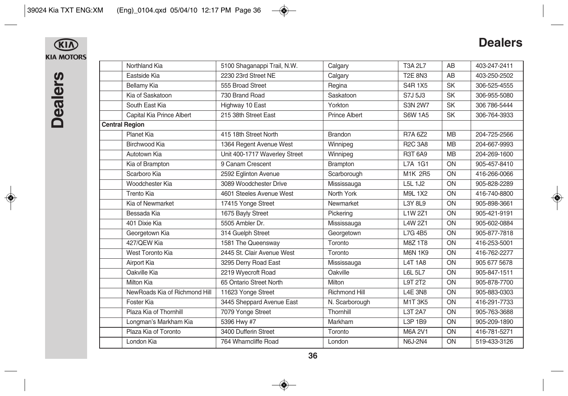## $\bigcirc$ **KIA MOTORS**

# **Dealers**

| Northland Kia                 | 5100 Shaganappi Trail, N.W.   | Calgary              | <b>T3A 2L7</b> | AB        | 403-247-2411 |
|-------------------------------|-------------------------------|----------------------|----------------|-----------|--------------|
| Eastside Kia                  | 2230 23rd Street NE           | Calgary              | <b>T2E 8N3</b> | AB        | 403-250-2502 |
| Bellamy Kia                   | 555 Broad Street              | Regina               | <b>S4R1X5</b>  | <b>SK</b> | 306-525-4555 |
| Kia of Saskatoon              | 730 Brand Road                | Saskatoon            | S7J 5J3        | <b>SK</b> | 306-955-5080 |
| South East Kia                | Highway 10 East               | Yorkton              | <b>S3N 2W7</b> | <b>SK</b> | 306 786-5444 |
| Capital Kia Prince Albert     | 215 38th Street East          | <b>Prince Albert</b> | <b>S6W 1A5</b> | <b>SK</b> | 306-764-3933 |
| <b>Central Region</b>         |                               |                      |                |           |              |
| Planet Kia                    | 415 18th Street North         | Brandon              | <b>R7A 6Z2</b> | <b>MB</b> | 204-725-2566 |
| <b>Birchwood Kia</b>          | 1364 Regent Avenue West       | Winnipeg             | <b>R2C 3A8</b> | <b>MB</b> | 204-667-9993 |
| Autotown Kia                  | Unit 400-1717 Waverley Street | Winnipeg             | <b>R3T 6A9</b> | <b>MB</b> | 204-269-1600 |
| Kia of Brampton               | 9 Canam Crescent              | <b>Brampton</b>      | L7A 1G1        | ON        | 905-457-8410 |
| Scarboro Kia                  | 2592 Eglinton Avenue          | Scarborough          | M1K 2R5        | ON        | 416-266-0066 |
| Woodchester Kia               | 3089 Woodchester Drive        | Mississauga          | L5L 1J2        | ON        | 905-828-2289 |
| Trento Kia                    | 4601 Steeles Avenue West      | North York           | M9L 1X2        | ON        | 416-740-8800 |
| Kia of Newmarket              | 17415 Yonge Street            | Newmarket            | L3Y 8L9        | ON        | 905-898-3661 |
| Bessada Kia                   | 1675 Bayly Street             | Pickering            | L1W 2Z1        | ON        | 905-421-9191 |
| 401 Dixie Kia                 | 5505 Ambler Dr.               | Mississauga          | L4W 2Z1        | ON        | 905-602-0884 |
| Georgetown Kia                | 314 Guelph Street             | Georgetown           | L7G 4B5        | ON        | 905-877-7818 |
| 427/OEW Kia                   | 1581 The Queensway            | Toronto              | <b>M8Z1T8</b>  | ON        | 416-253-5001 |
| West Toronto Kia              | 2445 St. Clair Avenue West    | Toronto              | <b>M6N 1K9</b> | ON        | 416-762-2277 |
| Airport Kia                   | 3295 Derry Road East          | Mississauga          | <b>L4T1A8</b>  | ON        | 905 677 5678 |
| Oakville Kia                  | 2219 Wyecroft Road            | Oakville             | <b>L6L 5L7</b> | ON        | 905-847-1511 |
| Milton Kia                    | 65 Ontario Street North       | Milton               | L9T 2T2        | ON        | 905-878-7700 |
| NewRoads Kia of Richmond Hill | 11623 Yonge Street            | <b>Richmond Hill</b> | <b>L4E 3N8</b> | ON        | 905-883-0303 |
| Foster Kia                    | 3445 Sheppard Avenue East     | N. Scarborough       | M1T3K5         | ON        | 416-291-7733 |
| Plaza Kia of Thornhill        | 7079 Yonge Street             | Thornhill            | L3T 2A7        | ON        | 905-763-3688 |
| Longman's Markham Kia         | 5396 Hwy #7                   | Markham              | L3P 1B9        | ON        | 905-209-1890 |
| Plaza Kia of Toronto          | 3400 Dufferin Street          | Toronto              | M6A 2V1        | ON        | 416-781-5271 |
| London Kia                    | 764 Wharncliffe Road          | London               | <b>N6J-2N4</b> | ON        | 519-433-3126 |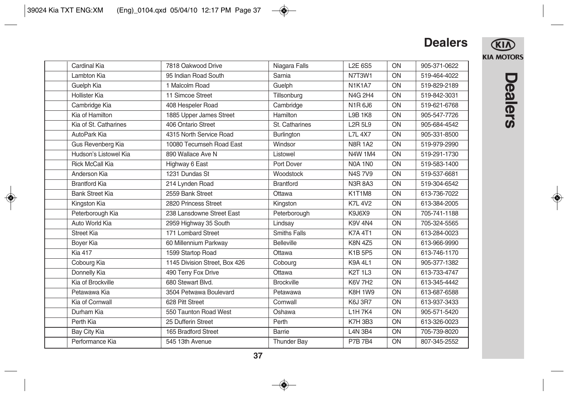

| Cardinal Kia           | 7818 Oakwood Drive            | Niagara Falls       | <b>L2E 6S5</b> | ON | 905-371-0622 |
|------------------------|-------------------------------|---------------------|----------------|----|--------------|
| Lambton Kia            | 95 Indian Road South          | Sarnia              | N7T3W1         | ON | 519-464-4022 |
| Guelph Kia             | 1 Malcolm Road                | Guelph              | <b>N1K1A7</b>  | ON | 519-829-2189 |
| Hollister Kia          | 11 Simcoe Street              | Tillsonburg         | N4G 2H4        | ON | 519-842-3031 |
| Cambridge Kia          | 408 Hespeler Road             | Cambridge           | N1R6J6         | ON | 519-621-6768 |
| Kia of Hamilton        | 1885 Upper James Street       | Hamilton            | <b>L9B 1K8</b> | ON | 905-547-7726 |
| Kia of St. Catharines  | 406 Ontario Street            | St. Catharines      | <b>L2R 5L9</b> | ON | 905-684-4542 |
| AutoPark Kia           | 4315 North Service Road       | Burlington          | <b>L7L 4X7</b> | ON | 905-331-8500 |
| Gus Revenberg Kia      | 10080 Tecumseh Road East      | Windsor             | <b>N8R 1A2</b> | ON | 519-979-2990 |
| Hudson's Listowel Kia  | 890 Wallace Ave N             | Listowel            | N4W 1M4        | ON | 519-291-1730 |
| <b>Rick McCall Kia</b> | Highway 6 East                | Port Dover          | <b>N0A 1N0</b> | ON | 519-583-1400 |
| Anderson Kia           | 1231 Dundas St                | Woodstock           | <b>N4S7V9</b>  | ON | 519-537-6681 |
| <b>Brantford Kia</b>   | 214 Lynden Road               | <b>Brantford</b>    | <b>N3R 8A3</b> | ON | 519-304-6542 |
| <b>Bank Street Kia</b> | 2559 Bank Street              | Ottawa              | K1T1M8         | ON | 613-736-7022 |
| Kingston Kia           | 2820 Princess Street          | Kingston            | <b>K7L 4V2</b> | ON | 613-384-2005 |
| Peterborough Kia       | 238 Lansdowne Street East     | Peterborough        | K9J6X9         | ON | 705-741-1188 |
| Auto World Kia         | 2959 Highway 35 South         | Lindsay             | <b>K9V 4N4</b> | ON | 705-324-5565 |
| <b>Street Kia</b>      | 171 Lombard Street            | <b>Smiths Falls</b> | <b>K7A 4T1</b> | ON | 613-284-0023 |
| <b>Boyer Kia</b>       | 60 Millennium Parkway         | <b>Belleville</b>   | <b>K8N 4Z5</b> | ON | 613-966-9990 |
| <b>Kia 417</b>         | 1599 Startop Road             | Ottawa              | K1B 5P5        | ON | 613-746-1170 |
| Cobourg Kia            | 1145 Division Street, Box 426 | Cobourg             | <b>K9A 4L1</b> | ON | 905-377-1382 |
| Donnelly Kia           | 490 Terry Fox Drive           | Ottawa              | <b>K2T 1L3</b> | ON | 613-733-4747 |
| Kia of Brockville      | 680 Stewart Blvd.             | <b>Brockville</b>   | <b>K6V 7H2</b> | ON | 613-345-4442 |
| Petawawa Kia           | 3504 Petwawa Boulevard        | Petawawa            | <b>K8H 1W9</b> | ON | 613-687-6588 |
| Kia of Cornwall        | 628 Pitt Street               | Cornwall            | <b>K6J 3R7</b> | ON | 613-937-3433 |
| Durham Kia             | 550 Taunton Road West         | Oshawa              | L1H 7K4        | ON | 905-571-5420 |
| Perth Kia              | 25 Dufferin Street            | Perth               | <b>K7H 3B3</b> | ON | 613-326-0023 |
| Bay City Kia           | 165 Bradford Street           | Barrie              | <b>L4N 3B4</b> | ON | 705-739-8020 |
| Performance Kia        | 545 13th Avenue               | <b>Thunder Bay</b>  | <b>P7B7B4</b>  | ON | 807-345-2552 |
|                        |                               |                     |                |    |              |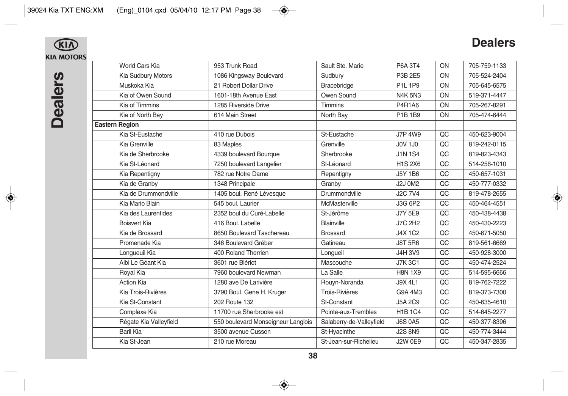

**KIA**<br>KIA MOTORS

| World Cars Kia         | 953 Trunk Road                     | Sault Ste. Marie         | P6A 3T4        | ON | 705-759-1133 |
|------------------------|------------------------------------|--------------------------|----------------|----|--------------|
| Kia Sudbury Motors     | 1086 Kingsway Boulevard            | Sudbury                  | P3B 2E5        | ON | 705-524-2404 |
| Muskoka Kia            | 21 Robert Dollar Drive             | Bracebridge              | P1L 1P9        | ON | 705-645-6575 |
| Kia of Owen Sound      | 1601-18th Avenue East              | Owen Sound               | <b>N4K 5N3</b> | ON | 519-371-4447 |
| Kia of Timmins         | 1285 Riverside Drive               | Timmins                  | P4R1A6         | ON | 705-267-8291 |
| Kia of North Bay       | 614 Main Street                    | North Bay                | P1B 1B9        | ON | 705-474-6444 |
| <b>Eastern Region</b>  |                                    |                          |                |    |              |
| Kia St-Eustache        | 410 rue Dubois                     | St-Eustache              | <b>J7P 4W9</b> | QC | 450-623-9004 |
| Kia Grenville          | 83 Maples                          | Grenville                | <b>J0V 1J0</b> | QC | 819-242-0115 |
| Kia de Sherbrooke      | 4339 boulevard Bourque             | Sherbrooke               | <b>J1N 1S4</b> | QC | 819-823-4343 |
| Kia St-Léonard         | 7250 boulevard Langelier           | St-Léonard               | <b>H1S 2X6</b> | QC | 514-256-1010 |
| Kia Repentigny         | 782 rue Notre Dame                 | Repentigny               | <b>J5Y 1B6</b> | QC | 450-657-1031 |
| Kia de Granby          | 1348 Principale                    | Granby                   | <b>J2J 0M2</b> | QC | 450-777-0332 |
| Kia de Drummondville   | 1405 boul. René Lévesaue           | Drummondville            | <b>J2C 7V4</b> | QC | 819-478-2655 |
| Kia Mario Blain        | 545 boul. Laurier                  | McMasterville            | J3G 6P2        | QC | 450-464-4551 |
| Kia des Laurentides    | 2352 boul du Curé-Labelle          | St-Jérôme                | <b>J7Y 5E9</b> | QC | 450-438-4438 |
| <b>Boisvert Kia</b>    | 416 Boul, Labelle                  | Blainville               | <b>J7C 2H2</b> | QC | 450-430-2223 |
| Kia de Brossard        | 8650 Boulevard Taschereau          | <b>Brossard</b>          | <b>J4X 1C2</b> | QC | 450-671-5050 |
| Promenade Kia          | 346 Boulevard Gréber               | Gatineau                 | <b>J8T 5R6</b> | QC | 819-561-6669 |
| Lonqueuil Kia          | 400 Roland Therrien                | Longueil                 | J4H 3V9        | QC | 450-928-3000 |
| Albi Le Géant Kia      | 3601 rue Blériot                   | Mascouche                | <b>J7K3C1</b>  | QC | 450-474-2524 |
| Royal Kia              | 7960 boulevard Newman              | La Salle                 | <b>H8N 1X9</b> | QC | 514-595-6666 |
| <b>Action Kia</b>      | 1280 ave De Larivière              | Rouyn-Noranda            | <b>J9X 4L1</b> | QC | 819-762-7222 |
| Kia Trois-Rivières     | 3790 Boul. Gene H. Kruger          | <b>Trois-Rivières</b>    | G9A 4M3        | OC | 819-373-7300 |
| Kia St-Constant        | 202 Route 132                      | St-Constant              | <b>J5A 2C9</b> | QC | 450-635-4610 |
| Complexe Kia           | 11700 rue Sherbrooke est           | Pointe-aux-Trembles      | <b>H1B1C4</b>  | QC | 514-645-2277 |
| Régate Kia Valleyfield | 550 boulevard Monseigneur Langlois | Salaberry-de-Valleyfield | <b>J6S 0A5</b> | QC | 450-377-8396 |
| Baril Kia              | 3500 avenue Cusson                 | St-Hyacinthe             | <b>J2S 8N9</b> | QC | 450-774-3444 |
| Kia St-Jean            | 210 rue Moreau                     | St-Jean-sur-Richelieu    | <b>J2W 0E9</b> | QC | 450-347-2835 |
|                        |                                    |                          |                |    |              |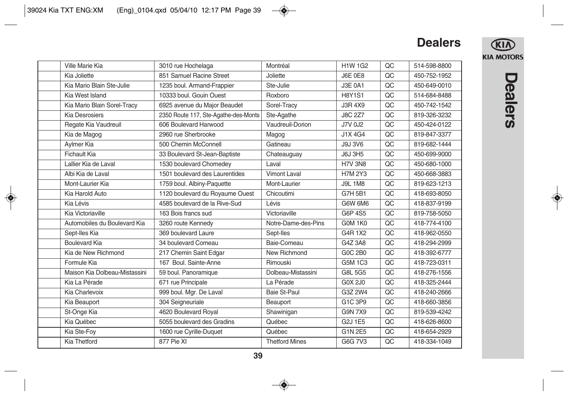

| Ville Marie Kia               | 3010 rue Hochelaga                   | Montréal              | <b>H1W 1G2</b> | QC | 514-598-8800 |
|-------------------------------|--------------------------------------|-----------------------|----------------|----|--------------|
| Kia Joliette                  | 851 Samuel Racine Street             | Joliette              | <b>J6E 0E8</b> | QC | 450-752-1952 |
| Kia Mario Blain Ste-Julie     | 1235 boul. Armand-Frappier           | Ste-Julie             | <b>J3E 0A1</b> | QC | 450-649-0010 |
| Kia West Island               | 10333 boul. Gouin Ouest              | Roxboro               | <b>H8Y1S1</b>  | QC | 514-684-8488 |
| Kia Mario Blain Sorel-Tracy   | 6925 avenue du Major Beaudet         | Sorel-Tracy           | J3R 4X9        | QC | 450-742-1542 |
| <b>Kia Desrosiers</b>         | 2350 Route 117, Ste-Agathe-des-Monts | Ste-Agathe            | <b>J8C 2Z7</b> | QC | 819-326-3232 |
| Regate Kia Vaudreuil          | 606 Boulevard Harwood                | Vaudreuil-Dorion      | J7V 0J2        | QC | 450-424-0122 |
| Kia de Magog                  | 2960 rue Sherbrooke                  | Magog                 | J1X 4G4        | QC | 819-847-3377 |
| Aylmer Kia                    | 500 Chemin McConnell                 | Gatineau              | <b>J9J 3V6</b> | QC | 819-682-1444 |
| Fichault Kia                  | 33 Boulevard St-Jean-Baptiste        | Chateauguay           | <b>J6J 3H5</b> | QC | 450-699-9000 |
| Lallier Kia de Laval          | 1530 boulevard Chomedev              | Laval                 | <b>H7V 3N8</b> | QC | 450-680-1000 |
| Albi Kia de Laval             | 1501 boulevard des Laurentides       | Vimont Laval          | <b>H7M2Y3</b>  | QC | 450-668-3883 |
| Mont-Laurier Kia              | 1759 boul. Albiny-Paquette           | Mont-Laurier          | <b>J9L1M8</b>  | QC | 819-623-1213 |
| Kia Harold Auto               | 1120 boulevard du Royaume Ouest      | Chicoutimi            | G7H 5B1        | QC | 418-693-8050 |
| Kia Lévis                     | 4585 boulevard de la Rive-Sud        | Lévis                 | G6W 6M6        | QC | 418-837-9199 |
| Kia Victoriaville             | 163 Bois francs sud                  | Victoriaville         | G6P 4S5        | QC | 819-758-5050 |
| Automobiles du Boulevard Kia  | 3260 route Kennedy                   | Notre-Dame-des-Pins   | GOM 1KO        | QC | 418-774-4100 |
| Sept-Iles Kia                 | 369 boulevard Laure                  | Sept-Iles             | G4R 1X2        | QC | 418-962-0550 |
| <b>Boulevard Kia</b>          | 34 boulevard Comeau                  | Baie-Comeau           | G4Z 3A8        | QC | 418-294-2999 |
| Kia de New Richmond           | 217 Chemin Saint Edgar               | New Richmond          | G0C 2B0        | QC | 418-392-6777 |
| Formule Kia                   | 167 Boul. Sainte-Anne                | Rimouski              | <b>G5M 1C3</b> | QC | 418-723-0311 |
| Maison Kia Dolbeau-Mistassini | 59 boul. Panoramique                 | Dolbeau-Mistassini    | <b>G8L 5G5</b> | QC | 418-276-1556 |
| Kia La Pérade                 | 671 rue Principale                   | La Pérade             | <b>GOX 2J0</b> | QC | 418-325-2444 |
| Kia Charlevoix                | 999 boul. Mgr. De Laval              | <b>Baie St-Paul</b>   | G3Z 2W4        | QC | 418-240-2666 |
| Kia Beauport                  | 304 Seigneuriale                     | Beauport              | G1C 3P9        | QC | 418-660-3856 |
| St-Onge Kia                   | 4620 Boulevard Royal                 | Shawinigan            | <b>G9N 7X9</b> | QC | 819-539-4242 |
| Kia Québec                    | 5055 boulevard des Gradins           | Québec                | G2J 1E5        | QC | 418-626-8600 |
| Kia Ste-Fov                   | 1600 rue Cyrille-Duquet              | Québec                | G1N 2E5        | QC | 418-654-2929 |
| Kia Thetford                  | 877 Pie XI                           | <b>Thetford Mines</b> | G6G 7V3        | QC | 418-334-1049 |
|                               |                                      |                       |                |    |              |

# **Dealers**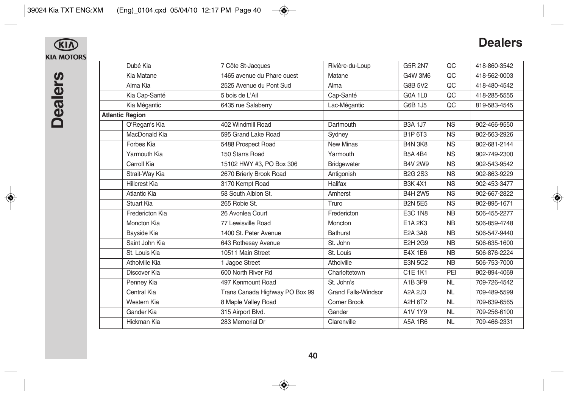# **Dealers**

 $\bigcirc$ **KIA MOTORS** 

| Dubé Kia               | 7 Côte St-Jacques              | Rivière-du-Loup            | G5R 2N7        | QC        | 418-860-3542 |
|------------------------|--------------------------------|----------------------------|----------------|-----------|--------------|
| Kia Matane             | 1465 avenue du Phare ouest     | Matane                     | G4W 3M6        | QC        | 418-562-0003 |
| Alma Kia               | 2525 Avenue du Pont Sud        | Alma                       | G8B 5V2        | QC        | 418-480-4542 |
| Kia Cap-Santé          | 5 bois de L'Ail                | Cap-Santé                  | <b>G0A 1L0</b> | QC        | 418-285-5555 |
| Kia Mégantic           | 6435 rue Salaberry             | Lac-Mégantic               | G6B 1J5        | QC        | 819-583-4545 |
| <b>Atlantic Region</b> |                                |                            |                |           |              |
| O'Regan's Kia          | 402 Windmill Road              | Dartmouth                  | <b>B3A 1J7</b> | <b>NS</b> | 902-466-9550 |
| MacDonald Kia          | 595 Grand Lake Road            | Sydney                     | B1P 6T3        | <b>NS</b> | 902-563-2926 |
| Forbes Kia             | 5488 Prospect Road             | <b>New Minas</b>           | <b>B4N 3K8</b> | <b>NS</b> | 902-681-2144 |
| Yarmouth Kia           | 150 Starrs Road                | Yarmouth                   | <b>B5A 4B4</b> | <b>NS</b> | 902-749-2300 |
| Carroll Kia            | 15102 HWY #3, PO Box 306       | <b>Bridgewater</b>         | <b>B4V 2W9</b> | <b>NS</b> | 902-543-9542 |
| Strait-Way Kia         | 2670 Brierly Brook Road        | Antigonish                 | <b>B2G 2S3</b> | <b>NS</b> | 902-863-9229 |
| <b>Hillcrest Kia</b>   | 3170 Kempt Road                | <b>Halifax</b>             | <b>B3K4X1</b>  | <b>NS</b> | 902-453-3477 |
| Atlantic Kia           | 58 South Albion St.            | Amherst                    | <b>B4H 2W5</b> | <b>NS</b> | 902-667-2822 |
| <b>Stuart Kia</b>      | 265 Robie St.                  | Truro                      | <b>B2N 5E5</b> | <b>NS</b> | 902-895-1671 |
| Fredericton Kia        | 26 Avonlea Court               | Fredericton                | <b>E3C 1N8</b> | <b>NB</b> | 506-455-2277 |
| Moncton Kia            | 77 Lewisville Road             | Moncton                    | E1A 2K3        | <b>NB</b> | 506-859-4748 |
| Bayside Kia            | 1400 St. Peter Avenue          | <b>Bathurst</b>            | <b>E2A 3A8</b> | <b>NB</b> | 506-547-9440 |
| Saint John Kia         | 643 Rothesay Avenue            | St. John                   | <b>E2H 2G9</b> | <b>NB</b> | 506-635-1600 |
| St. Louis Kia          | 10511 Main Street              | St. Louis                  | E4X 1E6        | <b>NB</b> | 506-876-2224 |
| Atholville Kia         | 1 Jagoe Street                 | Atholville                 | <b>E3N 5C2</b> | <b>NB</b> | 506-753-7000 |
| Discover Kia           | 600 North River Rd             | Charlottetown              | <b>C1E 1K1</b> | PEI       | 902-894-4069 |
| Penney Kia             | 497 Kenmount Road              | St. John's                 | A1B 3P9        | <b>NL</b> | 709-726-4542 |
| Central Kia            | Trans Canada Highway PO Box 99 | <b>Grand Falls-Windsor</b> | A2A 2J3        | <b>NL</b> | 709-489-5599 |
| Western Kia            | 8 Maple Valley Road            | Corner Brook               | A2H 6T2        | <b>NL</b> | 709-639-6565 |
| Gander Kia             | 315 Airport Blvd.              | Gander                     | A1V 1Y9        | <b>NL</b> | 709-256-6100 |
| Hickman Kia            | 283 Memorial Dr                | Clarenville                | A5A 1R6        | <b>NL</b> | 709-466-2331 |
|                        |                                |                            |                |           |              |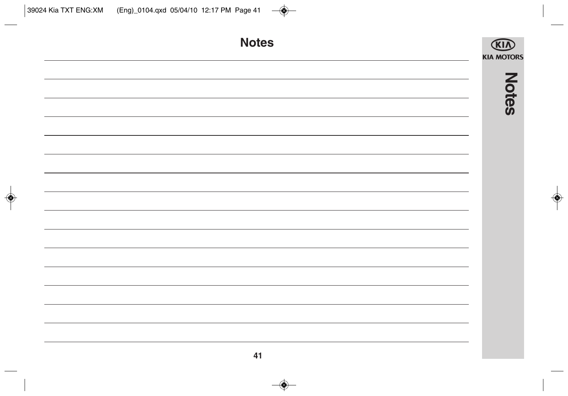| <b>Notes</b> | <b>KIN</b><br><b>KIA MOTORS</b> |
|--------------|---------------------------------|
|              |                                 |
|              | <b>Notes</b>                    |
|              |                                 |
|              |                                 |
|              |                                 |
|              |                                 |
|              |                                 |
|              |                                 |
|              |                                 |
|              |                                 |
|              |                                 |
| 41           |                                 |